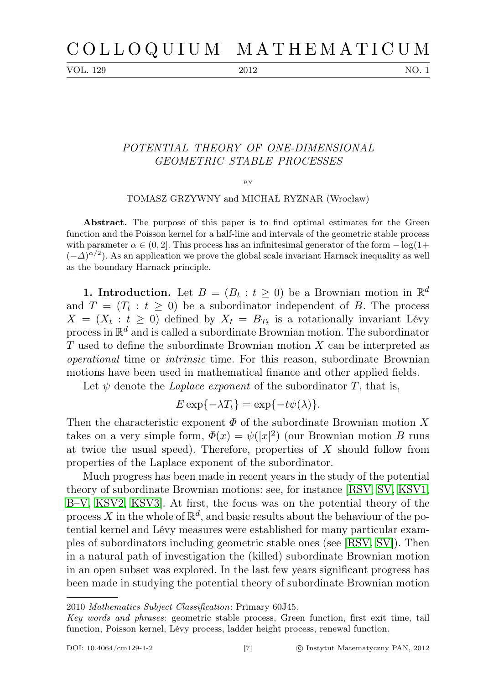VOL. 129 2012 NO. 1

## POTENTIAL THEORY OF ONE-DIMENSIONAL GEOMETRIC STABLE PROCESSES

BY

TOMASZ GRZYWNY and MICHAŁ RYZNAR (Wrocław)

Abstract. The purpose of this paper is to find optimal estimates for the Green function and the Poisson kernel for a half-line and intervals of the geometric stable process with parameter  $\alpha \in (0, 2]$ . This process has an infinitesimal generator of the form  $-\log(1+\alpha)$  $(-\Delta)^{\alpha/2}$ ). As an application we prove the global scale invariant Harnack inequality as well as the boundary Harnack principle.

**1. Introduction.** Let  $B = (B_t : t \geq 0)$  be a Brownian motion in  $\mathbb{R}^d$ and  $T = (T_t : t \geq 0)$  be a subordinator independent of B. The process  $X = (X_t : t \geq 0)$  defined by  $X_t = B_{T_t}$  is a rotationally invariant Lévy process in  $\mathbb{R}^d$  and is called a subordinate Brownian motion. The subordinator T used to define the subordinate Brownian motion X can be interpreted as operational time or intrinsic time. For this reason, subordinate Brownian motions have been used in mathematical finance and other applied fields.

Let  $\psi$  denote the *Laplace exponent* of the subordinator  $T$ , that is,

$$
E \exp\{-\lambda T_t\} = \exp\{-t\psi(\lambda)\}.
$$

Then the characteristic exponent  $\Phi$  of the subordinate Brownian motion X takes on a very simple form,  $\Phi(x) = \psi(|x|^2)$  (our Brownian motion B runs at twice the usual speed). Therefore, properties of  $X$  should follow from properties of the Laplace exponent of the subordinator.

Much progress has been made in recent years in the study of the potential theory of subordinate Brownian motions: see, for instance [\[RSV,](#page-33-0) [SV,](#page-33-1) [KSV1,](#page-32-0) [B–V,](#page-32-1) [KSV2,](#page-32-2) [KSV3\]](#page-32-3). At first, the focus was on the potential theory of the process X in the whole of  $\mathbb{R}^d$ , and basic results about the behaviour of the potential kernel and Lévy measures were established for many particular examples of subordinators including geometric stable ones (see [\[RSV,](#page-33-0) [SV\]](#page-33-1)). Then in a natural path of investigation the (killed) subordinate Brownian motion in an open subset was explored. In the last few years significant progress has been made in studying the potential theory of subordinate Brownian motion

<sup>2010</sup> Mathematics Subject Classification: Primary 60J45.

Key words and phrases: geometric stable process, Green function, first exit time, tail function, Poisson kernel, Lévy process, ladder height process, renewal function.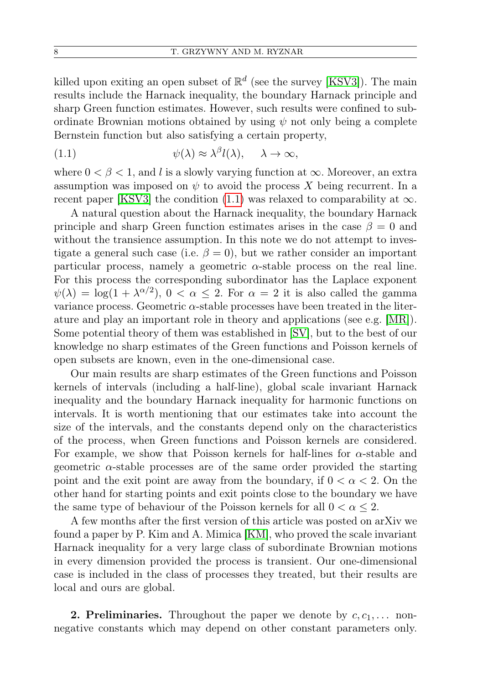killed upon exiting an open subset of  $\mathbb{R}^d$  (see the survey [\[KSV3\]](#page-32-3)). The main results include the Harnack inequality, the boundary Harnack principle and sharp Green function estimates. However, such results were confined to subordinate Brownian motions obtained by using  $\psi$  not only being a complete Bernstein function but also satisfying a certain property,

<span id="page-1-0"></span>(1.1) 
$$
\psi(\lambda) \approx \lambda^{\beta} l(\lambda), \quad \lambda \to \infty,
$$

where  $0 < \beta < 1$ , and l is a slowly varying function at  $\infty$ . Moreover, an extra assumption was imposed on  $\psi$  to avoid the process X being recurrent. In a recent paper [\[KSV3\]](#page-32-3) the condition [\(1.1\)](#page-1-0) was relaxed to comparability at  $\infty$ .

A natural question about the Harnack inequality, the boundary Harnack principle and sharp Green function estimates arises in the case  $\beta = 0$  and without the transience assumption. In this note we do not attempt to investigate a general such case (i.e.  $\beta = 0$ ), but we rather consider an important particular process, namely a geometric  $\alpha$ -stable process on the real line. For this process the corresponding subordinator has the Laplace exponent  $\psi(\lambda) = \log(1 + \lambda^{\alpha/2}), 0 < \alpha \leq 2$ . For  $\alpha = 2$  it is also called the gamma variance process. Geometric  $\alpha$ -stable processes have been treated in the literature and play an important role in theory and applications (see e.g. [\[MR\]](#page-33-2)). Some potential theory of them was established in [\[SV\]](#page-33-1), but to the best of our knowledge no sharp estimates of the Green functions and Poisson kernels of open subsets are known, even in the one-dimensional case.

Our main results are sharp estimates of the Green functions and Poisson kernels of intervals (including a half-line), global scale invariant Harnack inequality and the boundary Harnack inequality for harmonic functions on intervals. It is worth mentioning that our estimates take into account the size of the intervals, and the constants depend only on the characteristics of the process, when Green functions and Poisson kernels are considered. For example, we show that Poisson kernels for half-lines for  $\alpha$ -stable and geometric  $\alpha$ -stable processes are of the same order provided the starting point and the exit point are away from the boundary, if  $0 < \alpha < 2$ . On the other hand for starting points and exit points close to the boundary we have the same type of behaviour of the Poisson kernels for all  $0 < \alpha \leq 2$ .

A few months after the first version of this article was posted on arXiv we found a paper by P. Kim and A. Mimica [\[KM\]](#page-32-4), who proved the scale invariant Harnack inequality for a very large class of subordinate Brownian motions in every dimension provided the process is transient. Our one-dimensional case is included in the class of processes they treated, but their results are local and ours are global.

**2. Preliminaries.** Throughout the paper we denote by  $c, c_1, \ldots$  nonnegative constants which may depend on other constant parameters only.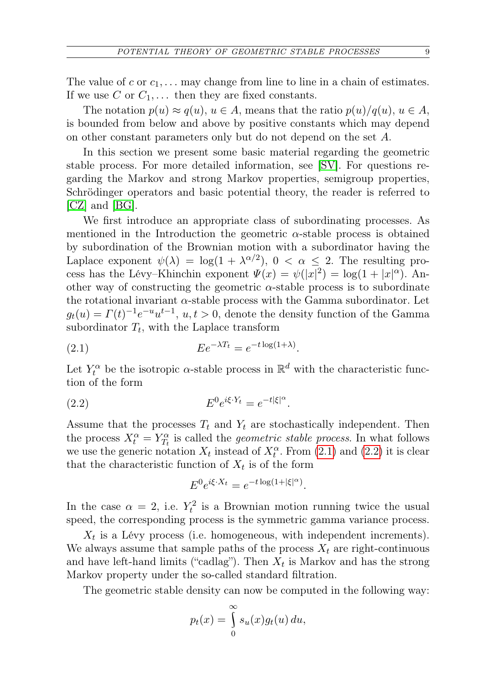The value of c or  $c_1, \ldots$  may change from line to line in a chain of estimates. If we use C or  $C_1, \ldots$  then they are fixed constants.

The notation  $p(u) \approx q(u)$ ,  $u \in A$ , means that the ratio  $p(u)/q(u)$ ,  $u \in A$ , is bounded from below and above by positive constants which may depend on other constant parameters only but do not depend on the set A.

In this section we present some basic material regarding the geometric stable process. For more detailed information, see [\[SV\]](#page-33-1). For questions regarding the Markov and strong Markov properties, semigroup properties, Schrödinger operators and basic potential theory, the reader is referred to [\[CZ\]](#page-32-5) and [\[BG\]](#page-32-6).

We first introduce an appropriate class of subordinating processes. As mentioned in the Introduction the geometric  $\alpha$ -stable process is obtained by subordination of the Brownian motion with a subordinator having the Laplace exponent  $\psi(\lambda) = \log(1 + \lambda^{\alpha/2}), 0 < \alpha \leq 2$ . The resulting process has the Lévy–Khinchin exponent  $\Psi(x) = \psi(|x|^2) = \log(1 + |x|^{\alpha})$ . Another way of constructing the geometric  $\alpha$ -stable process is to subordinate the rotational invariant  $\alpha$ -stable process with the Gamma subordinator. Let  $g_t(u) = \Gamma(t)^{-1} e^{-u} u^{t-1}, u, t > 0$ , denote the density function of the Gamma subordinator  $T_t$ , with the Laplace transform

<span id="page-2-0"></span>(2.1) 
$$
Ee^{-\lambda T_t} = e^{-t \log(1+\lambda)}.
$$

Let  $Y_t^{\alpha}$  be the isotropic  $\alpha$ -stable process in  $\mathbb{R}^d$  with the characteristic function of the form

(2.2) 
$$
E^{0}e^{i\xi \cdot Y_{t}} = e^{-t|\xi|^{\alpha}}.
$$

Assume that the processes  $T_t$  and  $Y_t$  are stochastically independent. Then the process  $X_t^{\alpha} = Y_{T_t}^{\alpha}$  is called the *geometric stable process*. In what follows we use the generic notation  $X_t$  instead of  $X_t^{\alpha}$ . From [\(2.1\)](#page-2-0) and [\(2.2\)](#page-2-1) it is clear that the characteristic function of  $X_t$  is of the form

<span id="page-2-1"></span>
$$
E^0 e^{i\xi \cdot X_t} = e^{-t \log(1 + |\xi|^\alpha)}.
$$

In the case  $\alpha = 2$ , i.e.  $Y_t^2$  is a Brownian motion running twice the usual speed, the corresponding process is the symmetric gamma variance process.

 $X_t$  is a Lévy process (i.e. homogeneous, with independent increments). We always assume that sample paths of the process  $X_t$  are right-continuous and have left-hand limits ("cadlag"). Then  $X_t$  is Markov and has the strong Markov property under the so-called standard filtration.

The geometric stable density can now be computed in the following way:

$$
p_t(x) = \int_0^\infty s_u(x) g_t(u) \, du,
$$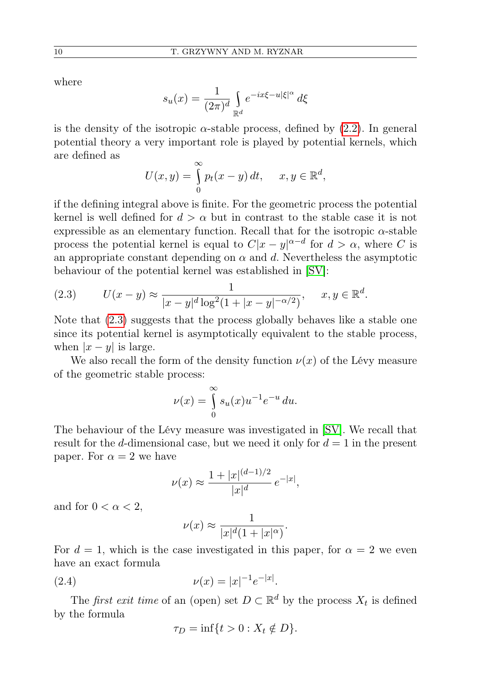where

$$
s_u(x) = \frac{1}{(2\pi)^d} \int_{\mathbb{R}^d} e^{-ix\xi - u|\xi|^\alpha} d\xi
$$

is the density of the isotropic  $\alpha$ -stable process, defined by [\(2.2\)](#page-2-1). In general potential theory a very important role is played by potential kernels, which are defined as

$$
U(x, y) = \int_{0}^{\infty} p_t(x - y) dt, \quad x, y \in \mathbb{R}^d,
$$

if the defining integral above is finite. For the geometric process the potential kernel is well defined for  $d > \alpha$  but in contrast to the stable case it is not expressible as an elementary function. Recall that for the isotropic  $\alpha$ -stable process the potential kernel is equal to  $C|x-y|^{\alpha-d}$  for  $d > \alpha$ , where C is an appropriate constant depending on  $\alpha$  and d. Nevertheless the asymptotic behaviour of the potential kernel was established in [\[SV\]](#page-33-1):

<span id="page-3-0"></span>(2.3) 
$$
U(x - y) \approx \frac{1}{|x - y|^d \log^2(1 + |x - y|^{-\alpha/2})}, \quad x, y \in \mathbb{R}^d.
$$

Note that [\(2.3\)](#page-3-0) suggests that the process globally behaves like a stable one since its potential kernel is asymptotically equivalent to the stable process, when  $|x - y|$  is large.

We also recall the form of the density function  $\nu(x)$  of the Lévy measure of the geometric stable process:

$$
\nu(x) = \int_{0}^{\infty} s_u(x) u^{-1} e^{-u} du.
$$

The behaviour of the Lévy measure was investigated in [\[SV\]](#page-33-1). We recall that result for the d-dimensional case, but we need it only for  $d = 1$  in the present paper. For  $\alpha = 2$  we have

$$
\nu(x) \approx \frac{1+|x|^{(d-1)/2}}{|x|^d} e^{-|x|},
$$

and for  $0 < \alpha < 2$ ,

$$
\nu(x) \approx \frac{1}{|x|^d (1+|x|^\alpha)}.
$$

For  $d = 1$ , which is the case investigated in this paper, for  $\alpha = 2$  we even have an exact formula

(2.4) 
$$
\nu(x) = |x|^{-1} e^{-|x|}.
$$

The *first exit time* of an (open) set  $D \subset \mathbb{R}^d$  by the process  $X_t$  is defined by the formula

<span id="page-3-1"></span>
$$
\tau_D = \inf\{t > 0 : X_t \notin D\}.
$$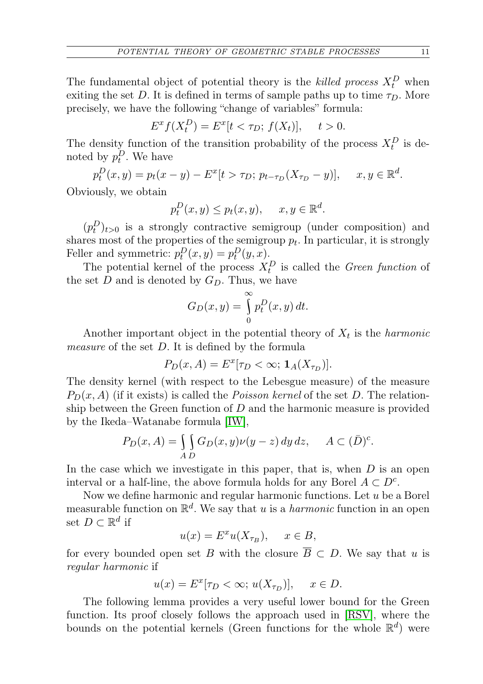The fundamental object of potential theory is the killed process  $X_t^D$  when exiting the set D. It is defined in terms of sample paths up to time  $\tau_D$ . More precisely, we have the following "change of variables" formula:

$$
E^x f(X_t^D) = E^x[t < \tau_D; f(X_t)], \quad t > 0.
$$

The density function of the transition probability of the process  $X_t^D$  is denoted by  $p_t^D$ . We have

$$
p_t^D(x,y) = p_t(x-y) - E^x[t > \tau_D; \, p_{t-\tau_D}(X_{\tau_D} - y)], \quad x, y \in \mathbb{R}^d.
$$

Obviously, we obtain

$$
p_t^D(x, y) \le p_t(x, y), \quad x, y \in \mathbb{R}^d.
$$

 $(p_t^D)_{t>0}$  is a strongly contractive semigroup (under composition) and shares most of the properties of the semigroup  $p_t$ . In particular, it is strongly Feller and symmetric:  $p_t^D(x, y) = p_t^D(y, x)$ .

The potential kernel of the process  $X_t^D$  is called the *Green function* of the set  $D$  and is denoted by  $G_D$ . Thus, we have

$$
G_D(x,y) = \int_0^\infty p_t^D(x,y) dt.
$$

Another important object in the potential theory of  $X_t$  is the *harmonic* measure of the set D. It is defined by the formula

$$
P_D(x, A) = E^x[\tau_D < \infty; \mathbf{1}_A(X_{\tau_D})].
$$

The density kernel (with respect to the Lebesgue measure) of the measure  $P_D(x, A)$  (if it exists) is called the *Poisson kernel* of the set D. The relationship between the Green function of  $D$  and the harmonic measure is provided by the Ikeda–Watanabe formula [\[IW\]](#page-32-7),

$$
P_D(x, A) = \iint_{A D} G_D(x, y) \nu(y - z) \, dy \, dz, \quad A \subset (\bar{D})^c.
$$

In the case which we investigate in this paper, that is, when  $D$  is an open interval or a half-line, the above formula holds for any Borel  $A \subset D^c$ .

Now we define harmonic and regular harmonic functions. Let  $u$  be a Borel measurable function on  $\mathbb{R}^d$ . We say that u is a *harmonic* function in an open set  $D \subset \mathbb{R}^d$  if

$$
u(x) = E^x u(X_{\tau_B}), \quad x \in B,
$$

for every bounded open set B with the closure  $\overline{B} \subset D$ . We say that u is regular harmonic if

$$
u(x) = E^x[\tau_D < \infty; u(X_{\tau_D})], \quad x \in D.
$$

The following lemma provides a very useful lower bound for the Green function. Its proof closely follows the approach used in [\[RSV\]](#page-33-0), where the bounds on the potential kernels (Green functions for the whole  $\mathbb{R}^d$ ) were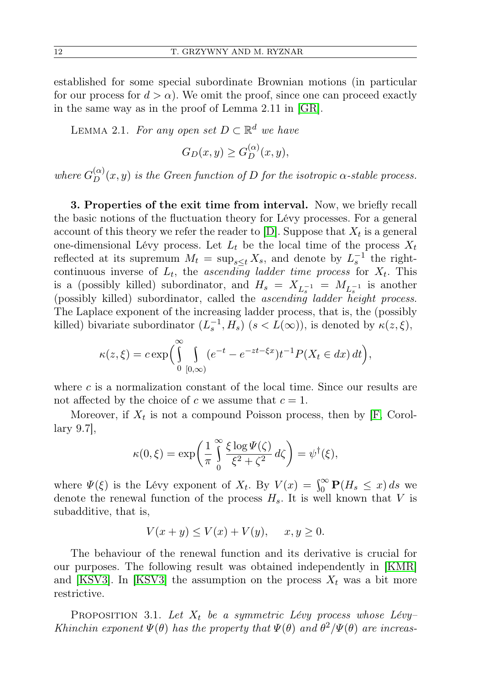established for some special subordinate Brownian motions (in particular for our process for  $d > \alpha$ ). We omit the proof, since one can proceed exactly in the same way as in the proof of Lemma 2.11 in [\[GR\]](#page-32-8).

<span id="page-5-1"></span>LEMMA 2.1. For any open set  $D \subset \mathbb{R}^d$  we have

$$
G_D(x,y) \ge G_D^{(\alpha)}(x,y),
$$

where  $G_D^{(\alpha)}(x,y)$  is the Green function of D for the isotropic  $\alpha$ -stable process.

3. Properties of the exit time from interval. Now, we briefly recall the basic notions of the fluctuation theory for Lévy processes. For a general account of this theory we refer the reader to [\[D\]](#page-32-9). Suppose that  $X_t$  is a general one-dimensional Lévy process. Let  $L_t$  be the local time of the process  $X_t$ reflected at its supremum  $M_t = \sup_{s \leq t} X_s$ , and denote by  $L_s^{-1}$  the rightcontinuous inverse of  $L_t$ , the *ascending ladder time process* for  $X_t$ . This is a (possibly killed) subordinator, and  $H_s = X_{L_s^{-1}} = M_{L_s^{-1}}$  is another (possibly killed) subordinator, called the ascending ladder height process. The Laplace exponent of the increasing ladder process, that is, the (possibly killed) bivariate subordinator  $(L_s^{-1}, H_s)$   $(s < L(\infty))$ , is denoted by  $\kappa(z, \xi)$ ,

$$
\kappa(z,\xi) = c \exp\bigg(\int_{0}^{\infty} \int_{[0,\infty)} (e^{-t} - e^{-zt-\xi x}) t^{-1} P(X_t \in dx) dt\bigg),
$$

where  $c$  is a normalization constant of the local time. Since our results are not affected by the choice of c we assume that  $c = 1$ .

Moreover, if  $X_t$  is not a compound Poisson process, then by [\[F,](#page-32-10) Corollary 9.7],

$$
\kappa(0,\xi) = \exp\left(\frac{1}{\pi} \int_{0}^{\infty} \frac{\xi \log \Psi(\zeta)}{\xi^2 + \zeta^2} d\zeta\right) = \psi^{\dagger}(\xi),
$$

where  $\Psi(\xi)$  is the Lévy exponent of  $X_t$ . By  $V(x) = \int_0^\infty \mathbf{P}(H_s \leq x) ds$  we denote the renewal function of the process  $H_s$ . It is well known that V is subadditive, that is,

$$
V(x+y) \le V(x) + V(y), \quad x, y \ge 0.
$$

The behaviour of the renewal function and its derivative is crucial for our purposes. The following result was obtained independently in [\[KMR\]](#page-33-3) and [\[KSV3\]](#page-32-3). In [KSV3] the assumption on the process  $X_t$  was a bit more restrictive.

<span id="page-5-0"></span>PROPOSITION 3.1. Let  $X_t$  be a symmetric Lévy process whose Lévy-Khinchin exponent  $\Psi(\theta)$  has the property that  $\Psi(\theta)$  and  $\theta^2/\Psi(\theta)$  are increas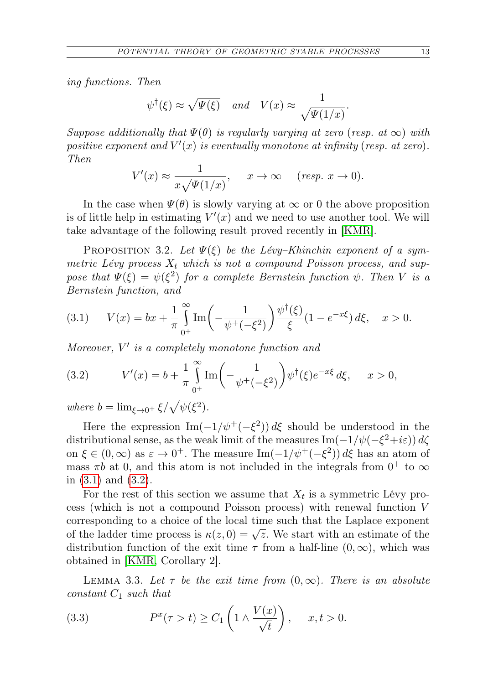ing functions. Then

$$
\psi^{\dagger}(\xi) \approx \sqrt{\Psi(\xi)}
$$
 and  $V(x) \approx \frac{1}{\sqrt{\Psi(1/x)}}$ .

Suppose additionally that  $\Psi(\theta)$  is regularly varying at zero (resp. at  $\infty$ ) with positive exponent and  $V'(x)$  is eventually monotone at infinity (resp. at zero). Then

$$
V'(x) \approx \frac{1}{x\sqrt{\Psi(1/x)}}, \quad x \to \infty \quad (resp. \ x \to 0).
$$

In the case when  $\Psi(\theta)$  is slowly varying at  $\infty$  or 0 the above proposition is of little help in estimating  $V'(x)$  and we need to use another tool. We will take advantage of the following result proved recently in [\[KMR\]](#page-33-3).

<span id="page-6-4"></span>PROPOSITION 3.2. Let  $\Psi(\xi)$  be the Lévy–Khinchin exponent of a symmetric Lévy process  $X_t$  which is not a compound Poisson process, and suppose that  $\Psi(\xi) = \psi(\xi^2)$  for a complete Bernstein function  $\psi$ . Then V is a Bernstein function, and

<span id="page-6-0"></span>(3.1) 
$$
V(x) = bx + \frac{1}{\pi} \int_{0^+}^{\infty} \text{Im}\left(-\frac{1}{\psi^+(-\xi^2)}\right) \frac{\psi^{\dagger}(\xi)}{\xi} (1 - e^{-x\xi}) d\xi, \quad x > 0.
$$

Moreover,  $V'$  is a completely monotone function and

<span id="page-6-1"></span>(3.2) 
$$
V'(x) = b + \frac{1}{\pi} \int_{0^+}^{\infty} \text{Im}\left(-\frac{1}{\psi^+(-\xi^2)}\right) \psi^{\dagger}(\xi) e^{-x\xi} d\xi, \quad x > 0,
$$

where  $b = \lim_{\xi \to 0^+} \xi / \sqrt{\psi(\xi^2)}$ .

Here the expression  $\text{Im}(-1/\psi^+(-\xi^2)) d\xi$  should be understood in the distributional sense, as the weak limit of the measures  $\text{Im}(-1/\psi(-\xi^2+i\varepsilon)) d\zeta$ on  $\xi \in (0, \infty)$  as  $\varepsilon \to 0^+$ . The measure Im $(-1/\psi^+(-\xi^2)) d\xi$  has an atom of mass  $\pi b$  at 0, and this atom is not included in the integrals from  $0^+$  to  $\infty$ in [\(3.1\)](#page-6-0) and [\(3.2\)](#page-6-1).

For the rest of this section we assume that  $X_t$  is a symmetric Lévy process (which is not a compound Poisson process) with renewal function V corresponding to a choice of the local time such that the Laplace exponent corresponding to a choice of the local time such that the Laplace exponent<br>of the ladder time process is  $\kappa(z, 0) = \sqrt{z}$ . We start with an estimate of the distribution function of the exit time  $\tau$  from a half-line  $(0, \infty)$ , which was obtained in [\[KMR,](#page-33-3) Corollary 2].

<span id="page-6-2"></span>LEMMA 3.3. Let  $\tau$  be the exit time from  $(0, \infty)$ . There is an absolute constant  $C_1$  such that

<span id="page-6-5"></span><span id="page-6-3"></span>(3.3) 
$$
P^{x}(\tau > t) \geq C_1 \left( 1 \wedge \frac{V(x)}{\sqrt{t}} \right), \quad x, t > 0.
$$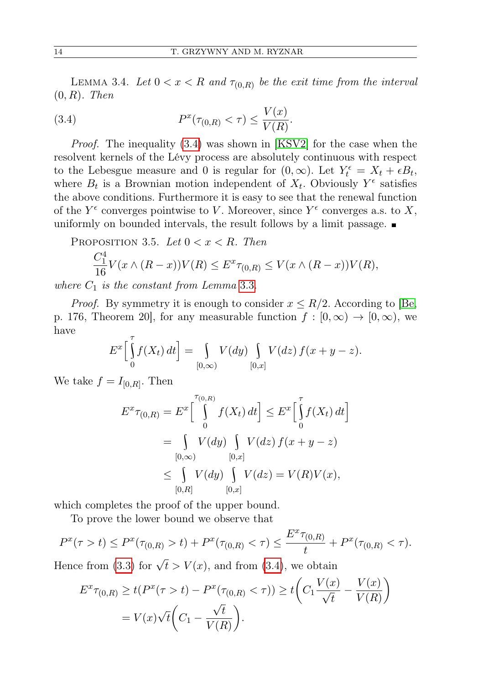LEMMA 3.4. Let  $0 < x < R$  and  $\tau_{(0,R)}$  be the exit time from the interval  $(0, R)$ . Then

<span id="page-7-0"></span>(3.4) 
$$
P^{x}(\tau_{(0,R)} < \tau) \leq \frac{V(x)}{V(R)}.
$$

*Proof.* The inequality  $(3.4)$  was shown in [\[KSV2\]](#page-32-2) for the case when the resolvent kernels of the Lévy process are absolutely continuous with respect to the Lebesgue measure and 0 is regular for  $(0, \infty)$ . Let  $Y_t^{\epsilon} = X_t + \epsilon B_t$ , where  $B_t$  is a Brownian motion independent of  $X_t$ . Obviously  $Y^{\epsilon}$  satisfies the above conditions. Furthermore it is easy to see that the renewal function of the  $Y^{\epsilon}$  converges pointwise to V. Moreover, since  $Y^{\epsilon}$  converges a.s. to X, uniformly on bounded intervals, the result follows by a limit passage.

<span id="page-7-1"></span>PROPOSITION 3.5. Let 
$$
0 < x < R
$$
. Then\n
$$
\frac{C_1^4}{16} V(x \wedge (R-x)) V(R) \le E^x \tau_{(0,R)} \le V(x \wedge (R-x)) V(R),
$$

where  $C_1$  is the constant from Lemma [3.3.](#page-6-2)

*Proof.* By symmetry it is enough to consider  $x \leq R/2$ . According to [\[Be,](#page-32-11) p. 176, Theorem 20, for any measurable function  $f : [0, \infty) \to [0, \infty)$ , we have

$$
E^x\Big[\int\limits_0^{\tau} f(X_t) dt\Big] = \int\limits_{[0,\infty)} V(dy) \int\limits_{[0,x]} V(dz) f(x+y-z).
$$

We take  $f = I_{[0,R]}$ . Then

$$
E^x \tau_{(0,R)} = E^x \left[ \int_0^{\tau_{(0,R)}} f(X_t) dt \right] \le E^x \left[ \int_0^{\tau} f(X_t) dt \right]
$$
  
= 
$$
\int_{[0,\infty)} V(dy) \int_{[0,x]} V(dz) f(x + y - z)
$$
  

$$
\le \int_{[0,R]} V(dy) \int_{[0,x]} V(dz) = V(R)V(x),
$$

which completes the proof of the upper bound.

To prove the lower bound we observe that

$$
P^{x}(\tau > t) \le P^{x}(\tau_{(0,R)} > t) + P^{x}(\tau_{(0,R)} < \tau) \le \frac{E^{x}\tau_{(0,R)}}{t} + P^{x}(\tau_{(0,R)} < \tau).
$$

Hence from [\(3.3\)](#page-6-3) for  $\sqrt{t} > V(x)$ , and from [\(3.4\)](#page-7-0), we obtain

$$
E^x \tau_{(0,R)} \ge t(P^x(\tau > t) - P^x(\tau_{(0,R)} < \tau)) \ge t\left(C_1 \frac{V(x)}{\sqrt{t}} - \frac{V(x)}{V(R)}\right)
$$

$$
= V(x)\sqrt{t}\left(C_1 - \frac{\sqrt{t}}{V(R)}\right).
$$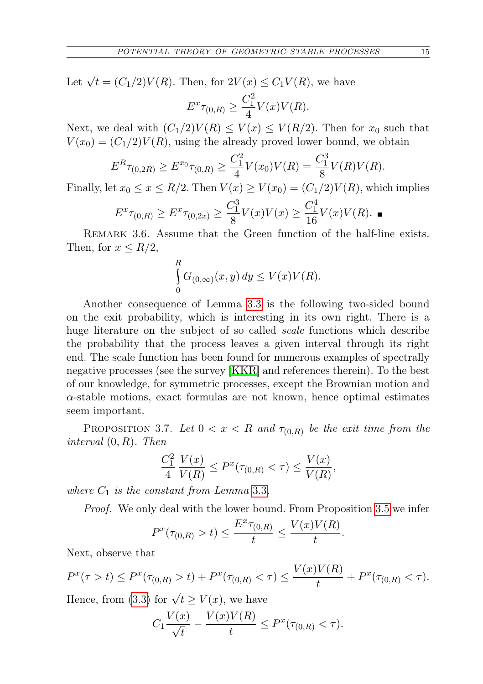Let  $\sqrt{t} = (C_1/2)V(R)$ . Then, for  $2V(x) \le C_1V(R)$ , we have

$$
E^x\tau_{(0,R)}\geq \frac{C_1^2}{4}V(x)V(R).
$$

Next, we deal with  $(C_1/2)V(R) \leq V(x) \leq V(R/2)$ . Then for  $x_0$  such that  $V(x_0) = (C_1/2)V(R)$ , using the already proved lower bound, we obtain

$$
E^{R}\tau_{(0,2R)} \ge E^{x_0}\tau_{(0,R)} \ge \frac{C_1^2}{4}V(x_0)V(R) = \frac{C_1^3}{8}V(R)V(R).
$$

Finally, let  $x_0 \le x \le R/2$ . Then  $V(x) \ge V(x_0) = (C_1/2)V(R)$ , which implies

$$
E^{x}\tau_{(0,R)} \geq E^{x}\tau_{(0,2x)} \geq \frac{C_1^3}{8}V(x)V(x) \geq \frac{C_1^4}{16}V(x)V(R).
$$

<span id="page-8-0"></span>REMARK 3.6. Assume that the Green function of the half-line exists. Then, for  $x \leq R/2$ ,

$$
\int_{0}^{R} G_{(0,\infty)}(x,y) dy \le V(x)V(R).
$$

Another consequence of Lemma [3.3](#page-6-2) is the following two-sided bound on the exit probability, which is interesting in its own right. There is a huge literature on the subject of so called *scale* functions which describe the probability that the process leaves a given interval through its right end. The scale function has been found for numerous examples of spectrally negative processes (see the survey [\[KKR\]](#page-32-12) and references therein). To the best of our knowledge, for symmetric processes, except the Brownian motion and  $\alpha$ -stable motions, exact formulas are not known, hence optimal estimates seem important.

PROPOSITION 3.7. Let  $0 < x < R$  and  $\tau_{(0,R)}$  be the exit time from the interval (0, R). Then

$$
\frac{C_1^2}{4} \frac{V(x)}{V(R)} \le P^x(\tau_{(0,R)} < \tau) \le \frac{V(x)}{V(R)},
$$

where  $C_1$  is the constant from Lemma [3.3](#page-6-2).

Proof. We only deal with the lower bound. From Proposition [3.5](#page-7-1) we infer

$$
P^{x}(\tau_{(0,R)} > t) \leq \frac{E^{x}\tau_{(0,R)}}{t} \leq \frac{V(x)V(R)}{t}.
$$

Next, observe that

$$
P^{x}(\tau > t) \le P^{x}(\tau_{(0,R)} > t) + P^{x}(\tau_{(0,R)} < \tau) \le \frac{V(x)V(R)}{t} + P^{x}(\tau_{(0,R)} < \tau).
$$

Hence, from [\(3.3\)](#page-6-3) for  $\sqrt{t} \ge V(x)$ , we have

$$
C_1 \frac{V(x)}{\sqrt{t}} - \frac{V(x)V(R)}{t} \le P^x(\tau_{(0,R)} < \tau).
$$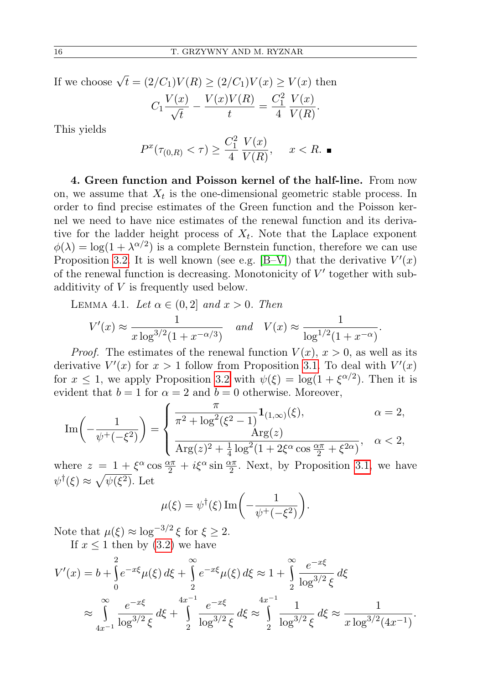If we choose  $\sqrt{t} = (2/C_1)V(R) \ge (2/C_1)V(x) \ge V(x)$  then

$$
C_1 \frac{V(x)}{\sqrt{t}} - \frac{V(x)V(R)}{t} = \frac{C_1^2}{4} \frac{V(x)}{V(R)}.
$$

This yields

$$
P^{x}(\tau_{(0,R)} < \tau) \ge \frac{C_1^2}{4} \frac{V(x)}{V(R)}, \quad x < R. \blacksquare
$$

4. Green function and Poisson kernel of the half-line. From now on, we assume that  $X_t$  is the one-dimensional geometric stable process. In order to find precise estimates of the Green function and the Poisson kernel we need to have nice estimates of the renewal function and its derivative for the ladder height process of  $X_t$ . Note that the Laplace exponent  $\phi(\lambda) = \log(1 + \lambda^{\alpha/2})$  is a complete Bernstein function, therefore we can use Proposition [3.2.](#page-6-4) It is well known (see e.g.  $[B-V]$ ) that the derivative  $V'(x)$ of the renewal function is decreasing. Monotonicity of  $V'$  together with subadditivity of V is frequently used below.

<span id="page-9-0"></span>LEMMA 4.1. Let 
$$
\alpha \in (0, 2]
$$
 and  $x > 0$ . Then  
\n
$$
V'(x) \approx \frac{1}{x \log^{3/2} (1 + x^{-\alpha/3})}
$$
 and  $V(x) \approx \frac{1}{\log^{1/2} (1 + x^{-\alpha})}$ .

*Proof.* The estimates of the renewal function  $V(x)$ ,  $x > 0$ , as well as its derivative  $V'(x)$  for  $x > 1$  follow from Proposition [3.1.](#page-5-0) To deal with  $V'(x)$ for  $x \leq 1$ , we apply Proposition [3.2](#page-6-4) with  $\psi(\xi) = \log(1 + \xi^{\alpha/2})$ . Then it is evident that  $b = 1$  for  $\alpha = 2$  and  $b = 0$  otherwise. Moreover,

$$
\operatorname{Im}\left(-\frac{1}{\psi^+(-\xi^2)}\right) = \begin{cases} \frac{\pi}{\pi^2 + \log^2(\xi^2 - 1)} \mathbf{1}_{(1,\infty)}(\xi), & \alpha = 2, \\ \frac{\operatorname{Arg}(z)}{\operatorname{Arg}(z)^2 + \frac{1}{4} \log^2(1 + 2\xi^{\alpha} \cos \frac{\alpha \pi}{2} + \xi^{2\alpha})}, & \alpha < 2, \end{cases}
$$

where  $z = 1 + \xi^{\alpha} \cos \frac{\alpha \pi}{2} + i \xi^{\alpha} \sin \frac{\alpha \pi}{2}$ . Next, by Proposition [3.1,](#page-5-0) we have  $\psi^{\dagger}(\xi) \approx \sqrt{\psi(\xi^2)}$ . Let

$$
\mu(\xi) = \psi^{\dagger}(\xi) \operatorname{Im} \left( -\frac{1}{\psi^+(-\xi^2)} \right).
$$

Note that  $\mu(\xi) \approx \log^{-3/2} \xi$  for  $\xi \geq 2$ .

If  $x \leq 1$  then by  $(3.2)$  we have

$$
V'(x) = b + \int_0^2 e^{-x\xi} \mu(\xi) d\xi + \int_2^\infty e^{-x\xi} \mu(\xi) d\xi \approx 1 + \int_2^\infty \frac{e^{-x\xi}}{\log^{3/2} \xi} d\xi
$$
  
 
$$
\approx \int_{4x^{-1}}^\infty \frac{e^{-x\xi}}{\log^{3/2} \xi} d\xi + \int_2^{4x^{-1}} \frac{e^{-x\xi}}{\log^{3/2} \xi} d\xi \approx \int_2^{4x^{-1}} \frac{1}{\log^{3/2} \xi} d\xi \approx \frac{1}{x \log^{3/2} (4x^{-1})}.
$$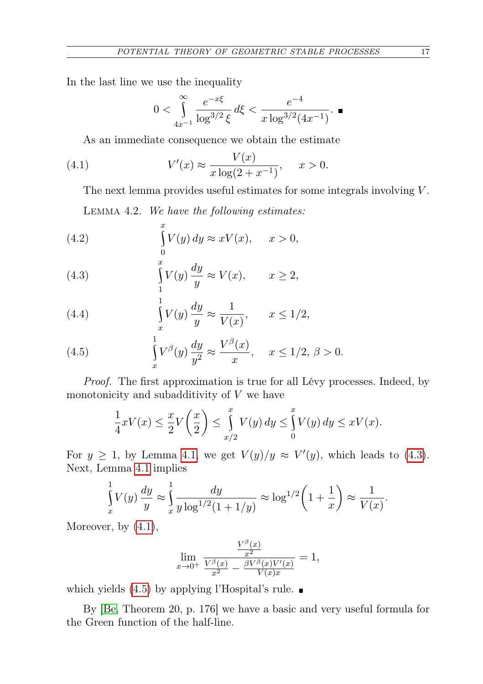In the last line we use the inequality

<span id="page-10-1"></span>
$$
0<\int\limits_{4x^{-1}}^{\infty}\frac{e^{-x\xi}}{\log^{3/2}\xi}\,d\xi<\frac{e^{-4}}{x\log^{3/2}(4x^{-1})}. \ \blacksquare
$$

As an immediate consequence we obtain the estimate

(4.1) 
$$
V'(x) \approx \frac{V(x)}{x \log(2 + x^{-1})}, \quad x > 0.
$$

The next lemma provides useful estimates for some integrals involving  $V$ . Lemma 4.2. We have the following estimates:

<span id="page-10-4"></span>(4.2) 
$$
\int_{0}^{x} V(y) dy \approx xV(x), \quad x > 0,
$$

<span id="page-10-0"></span>(4.3) 
$$
\int_{1}^{x} V(y) \frac{dy}{y} \approx V(x), \qquad x \ge 2,
$$

<span id="page-10-5"></span>(4.4) 
$$
\int_{x}^{1} V(y) \frac{dy}{y} \approx \frac{1}{V(x)}, \qquad x \le 1/2,
$$

<span id="page-10-2"></span>(4.5) 
$$
\int_{x}^{1} V^{\beta}(y) \frac{dy}{y^2} \approx \frac{V^{\beta}(x)}{x}, \quad x \le 1/2, \, \beta > 0.
$$

Proof. The first approximation is true for all Lévy processes. Indeed, by monotonicity and subadditivity of  $V$  we have

$$
\frac{1}{4}xV(x) \le \frac{x}{2}V\left(\frac{x}{2}\right) \le \int_{x/2}^x V(y) dy \le \int_0^x V(y) dy \le xV(x).
$$

For  $y \geq 1$ , by Lemma [4.1,](#page-9-0) we get  $V(y)/y \approx V'(y)$ , which leads to [\(4.3\)](#page-10-0). Next, Lemma [4.1](#page-9-0) implies

$$
\int_{x}^{1} V(y) \frac{dy}{y} \approx \int_{x}^{1} \frac{dy}{y \log^{1/2} (1 + 1/y)} \approx \log^{1/2} \left(1 + \frac{1}{x}\right) \approx \frac{1}{V(x)}.
$$

Moreover, by [\(4.1\)](#page-10-1),

$$
\lim_{x \to 0^+} \frac{\frac{V^{\beta}(x)}{x^2}}{\frac{V^{\beta}(x)}{x^2} - \frac{\beta V^{\beta}(x)V'(x)}{V(x)x}} = 1,
$$

which yields  $(4.5)$  by applying l'Hospital's rule.

<span id="page-10-3"></span>By [\[Be,](#page-32-11) Theorem 20, p. 176] we have a basic and very useful formula for the Green function of the half-line.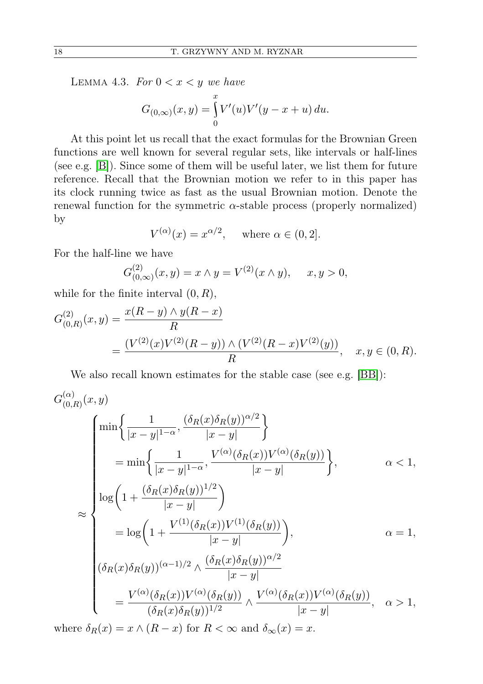LEMMA 4.3. For  $0 < x < y$  we have

$$
G_{(0,\infty)}(x,y) = \int_{0}^{x} V'(u)V'(y - x + u) du.
$$

At this point let us recall that the exact formulas for the Brownian Green functions are well known for several regular sets, like intervals or half-lines (see e.g. [\[B\]](#page-32-13)). Since some of them will be useful later, we list them for future reference. Recall that the Brownian motion we refer to in this paper has its clock running twice as fast as the usual Brownian motion. Denote the renewal function for the symmetric  $\alpha$ -stable process (properly normalized) by

$$
V^{(\alpha)}(x) = x^{\alpha/2}, \quad \text{where } \alpha \in (0, 2].
$$

For the half-line we have

$$
G_{(0,\infty)}^{(2)}(x,y) = x \wedge y = V^{(2)}(x \wedge y), \quad x, y > 0,
$$

while for the finite interval  $(0, R)$ ,

$$
G_{(0,R)}^{(2)}(x,y) = \frac{x(R-y) \wedge y(R-x)}{R}
$$
  
= 
$$
\frac{(V^{(2)}(x)V^{(2)}(R-y)) \wedge (V^{(2)}(R-x)V^{(2)}(y))}{R}, \quad x, y \in (0,R).
$$

We also recall known estimates for the stable case (see e.g. [\[BB\]](#page-32-14)):

$$
G_{(0,R)}^{(\alpha)}(x,y)
$$
\n
$$
\approx \begin{cases}\n\min\left\{\frac{1}{|x-y|^{1-\alpha}}, \frac{(\delta_R(x)\delta_R(y))^{\alpha/2}}{|x-y|}\right\} \\
= \min\left\{\frac{1}{|x-y|^{1-\alpha}}, \frac{V^{(\alpha)}(\delta_R(x))V^{(\alpha)}(\delta_R(y))}{|x-y|}\right\}, & \alpha < 1, \\
\log\left(1 + \frac{(\delta_R(x)\delta_R(y))^{1/2}}{|x-y|}\right) \\
= \log\left(1 + \frac{V^{(1)}(\delta_R(x))V^{(1)}(\delta_R(y))}{|x-y|}\right), & \alpha = 1, \\
(\delta_R(x)\delta_R(y))^{(\alpha-1)/2} \wedge \frac{(\delta_R(x)\delta_R(y))^{\alpha/2}}{|x-y|} \\
= \frac{V^{(\alpha)}(\delta_R(x))V^{(\alpha)}(\delta_R(y))}{(\delta_R(x)\delta_R(y))^{1/2}} \wedge \frac{V^{(\alpha)}(\delta_R(x))V^{(\alpha)}(\delta_R(y))}{|x-y|}, & \alpha > 1,\n\end{cases}
$$

where  $\delta_R(x) = x \wedge (R - x)$  for  $R < \infty$  and  $\delta_\infty(x) = x$ .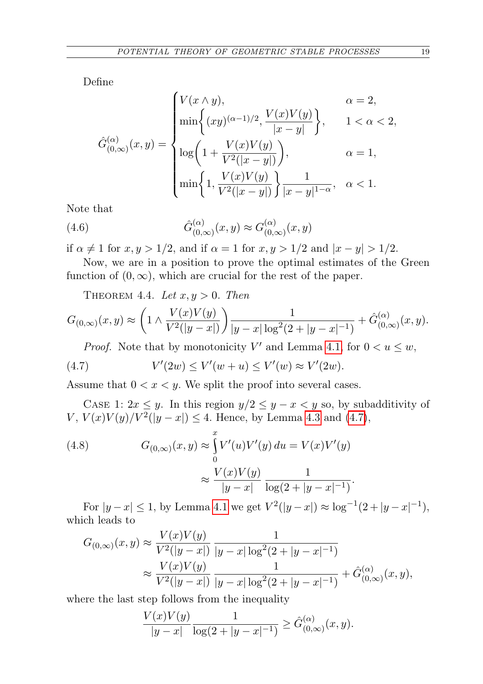Define

$$
\hat{G}_{(0,\infty)}^{(\alpha)}(x,y) = \begin{cases} V(x \wedge y), & \alpha = 2, \\ \min \left\{ (xy)^{(\alpha-1)/2}, \frac{V(x)V(y)}{|x-y|} \right\}, & 1 < \alpha < 2, \\ \log \left( 1 + \frac{V(x)V(y)}{V^2(|x-y|)} \right), & \alpha = 1, \\ \min \left\{ 1, \frac{V(x)V(y)}{V^2(|x-y|)} \right\} \frac{1}{|x-y|^{1-\alpha}}, & \alpha < 1. \end{cases}
$$

Note that

<span id="page-12-1"></span>(4.6) 
$$
\hat{G}_{(0,\infty)}^{(\alpha)}(x,y) \approx G_{(0,\infty)}^{(\alpha)}(x,y)
$$

if  $\alpha \neq 1$  for  $x, y > 1/2$ , and if  $\alpha = 1$  for  $x, y > 1/2$  and  $|x - y| > 1/2$ .

Now, we are in a position to prove the optimal estimates of the Green function of  $(0, \infty)$ , which are crucial for the rest of the paper.

<span id="page-12-3"></span>THEOREM 4.4. Let  $x, y > 0$ . Then

$$
G_{(0,\infty)}(x,y) \approx \left(1 \wedge \frac{V(x)V(y)}{V^2(|y-x|)}\right) \frac{1}{|y-x|\log^2(2+|y-x|^{-1})} + \hat{G}_{(0,\infty)}^{(\alpha)}(x,y).
$$

<span id="page-12-0"></span>*Proof.* Note that by monotonicity V' and Lemma [4.1,](#page-9-0) for  $0 < u \leq w$ ,

(4.7) 
$$
V'(2w) \le V'(w+u) \le V'(w) \approx V'(2w).
$$

Assume that  $0 < x < y$ . We split the proof into several cases.

CASE 1:  $2x \leq y$ . In this region  $y/2 \leq y - x < y$  so, by subadditivity of  $V, V(x)V(y)/V^2(|y-x|) \leq 4.$  Hence, by Lemma [4.3](#page-10-3) and [\(4.7\)](#page-12-0),

<span id="page-12-2"></span>(4.8) 
$$
G_{(0,\infty)}(x,y) \approx \int_{0}^{x} V'(u)V'(y) du = V(x)V'(y)
$$

$$
\approx \frac{V(x)V(y)}{|y-x|} \frac{1}{\log(2+|y-x|^{-1})}.
$$

For  $|y-x| \le 1$ , by Lemma [4.1](#page-9-0) we get  $V^2(|y-x|) \approx \log^{-1}(2+|y-x|^{-1})$ , which leads to

$$
G_{(0,\infty)}(x,y) \approx \frac{V(x)V(y)}{V^2(|y-x|)} \frac{1}{|y-x|\log^2(2+|y-x|^{-1})}
$$
  
 
$$
\approx \frac{V(x)V(y)}{V^2(|y-x|)} \frac{1}{|y-x|\log^2(2+|y-x|^{-1})} + \hat{G}_{(0,\infty)}^{(\alpha)}(x,y),
$$

where the last step follows from the inequality

 $\lambda$  (x) (x) (x) (x)

$$
\frac{V(x)V(y)}{|y-x|}\frac{1}{\log(2+|y-x|^{-1})}\geq \hat{G}_{(0,\infty)}^{(\alpha)}(x,y).
$$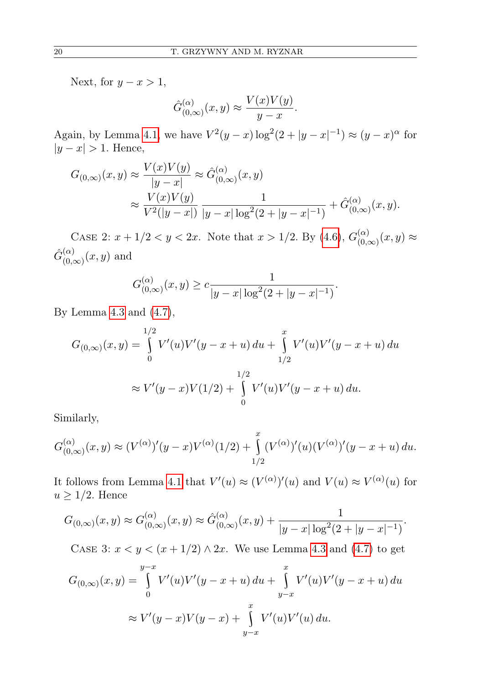Next, for  $y - x > 1$ ,

$$
\hat{G}_{(0,\infty)}^{(\alpha)}(x,y) \approx \frac{V(x)V(y)}{y-x}.
$$

Again, by Lemma [4.1,](#page-9-0) we have  $V^2(y-x) \log^2(2+|y-x|^{-1}) \approx (y-x)^\alpha$  for  $|y-x| > 1$ . Hence,

$$
G_{(0,\infty)}(x,y) \approx \frac{V(x)V(y)}{|y-x|} \approx \hat{G}_{(0,\infty)}^{(\alpha)}(x,y)
$$
  

$$
\approx \frac{V(x)V(y)}{V^2(|y-x|)} \frac{1}{|y-x|\log^2(2+|y-x|^{-1})} + \hat{G}_{(0,\infty)}^{(\alpha)}(x,y).
$$

CASE 2:  $x + 1/2 < y < 2x$ . Note that  $x > 1/2$ . By [\(4.6\)](#page-12-1),  $G_{0}^{(\alpha)}$  $\chi^{(\alpha)}_{(0,\infty)}(x,y) \approx$  $\hat{G}_{(0)}^{(\alpha)}$  $\binom{\alpha}{0,\infty}$  $(x, y)$  and

$$
G_{(0,\infty)}^{(\alpha)}(x,y) \ge c \frac{1}{|y-x| \log^2(2+|y-x|^{-1})}.
$$

By Lemma [4.3](#page-10-3) and [\(4.7\)](#page-12-0),

$$
G_{(0,\infty)}(x,y) = \int_{0}^{1/2} V'(u)V'(y-x+u) du + \int_{1/2}^{x} V'(u)V'(y-x+u) du
$$
  

$$
\approx V'(y-x)V(1/2) + \int_{0}^{1/2} V'(u)V'(y-x+u) du.
$$

Similarly,

$$
G_{(0,\infty)}^{(\alpha)}(x,y) \approx (V^{(\alpha)})'(y-x)V^{(\alpha)}(1/2) + \int_{1/2}^{x} (V^{(\alpha)})'(u)(V^{(\alpha)})'(y-x+u) du.
$$

It follows from Lemma [4.1](#page-9-0) that  $V'(u) \approx (V^{(\alpha)})'(u)$  and  $V(u) \approx V^{(\alpha)}(u)$  for  $u \geq 1/2$ . Hence

$$
G_{(0,\infty)}(x,y) \approx G_{(0,\infty)}^{(\alpha)}(x,y) \approx \hat{G}_{(0,\infty)}^{(\alpha)}(x,y) + \frac{1}{|y-x|\log^2(2+|y-x|^{-1})}.
$$

CASE 3:  $x < y < (x + 1/2) \wedge 2x$ . We use Lemma [4.3](#page-10-3) and [\(4.7\)](#page-12-0) to get

$$
G_{(0,\infty)}(x,y) = \int_{0}^{y-x} V'(u)V'(y-x+u) du + \int_{y-x}^{x} V'(u)V'(y-x+u) du
$$
  

$$
\approx V'(y-x)V(y-x) + \int_{y-x}^{x} V'(u)V'(u) du.
$$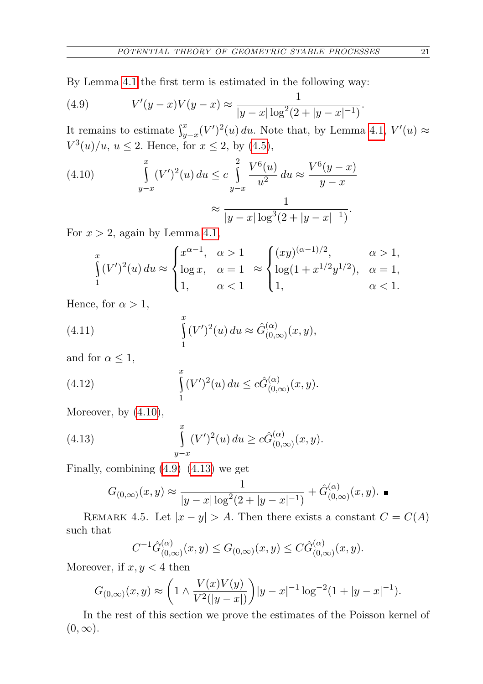By Lemma [4.1](#page-9-0) the first term is estimated in the following way:

<span id="page-14-0"></span>(4.9) 
$$
V'(y-x)V(y-x) \approx \frac{1}{|y-x|\log^2(2+|y-x|^{-1})}
$$

It remains to estimate  $\int_{y-x}^{x} (V')^2(u) du$ . Note that, by Lemma [4.1,](#page-9-0)  $V'(u) \approx$  $V^3(u)/u, u \le 2$ . Hence, for  $x \le 2$ , by [\(4.5\)](#page-10-2),

(4.10) 
$$
\int_{y-x}^{x} (V')^2(u) du \leq c \int_{y-x}^{2} \frac{V^6(u)}{u^2} du \approx \frac{V^6(y-x)}{y-x}
$$

$$
\approx \frac{1}{|y-x| \log^3(2+|y-x|^{-1})}.
$$

For  $x > 2$ , again by Lemma [4.1,](#page-9-0)

$$
\int_{1}^{x} (V')^{2}(u) du \approx \begin{cases} x^{\alpha-1}, & \alpha > 1 \\ \log x, & \alpha = 1 \\ 1, & \alpha < 1 \end{cases} \approx \begin{cases} (xy)^{(\alpha-1)/2}, & \alpha > 1, \\ \log(1 + x^{1/2}y^{1/2}), & \alpha = 1, \\ 1, & \alpha < 1. \end{cases}
$$

Hence, for  $\alpha > 1$ ,

(4.11) 
$$
\int_{1}^{x} (V')^{2}(u) du \approx \hat{G}_{(0,\infty)}^{(\alpha)}(x,y),
$$

and for  $\alpha \leq 1$ ,

(4.12) 
$$
\int_{1}^{x} (V')^{2}(u) du \leq c \hat{G}_{(0,\infty)}^{(\alpha)}(x,y).
$$

Moreover, by [\(4.10\)](#page-14-0),

(4.13) 
$$
\int_{y-x}^{x} (V')^{2}(u) du \ge c\hat{G}_{(0,\infty)}^{(\alpha)}(x,y).
$$

Finally, combining  $(4.9)$ – $(4.13)$  we get

<span id="page-14-1"></span>
$$
G_{(0,\infty)}(x,y) \approx \frac{1}{|y-x|\log^2(2+|y-x|^{-1})} + \hat{G}_{(0,\infty)}^{(\alpha)}(x,y). \quad \blacksquare
$$

<span id="page-14-2"></span>REMARK 4.5. Let  $|x - y| > A$ . Then there exists a constant  $C = C(A)$ such that

$$
C^{-1}\hat{G}_{(0,\infty)}^{(\alpha)}(x,y) \le G_{(0,\infty)}(x,y) \le C\hat{G}_{(0,\infty)}^{(\alpha)}(x,y).
$$

Moreover, if  $x, y < 4$  then

$$
G_{(0,\infty)}(x,y) \approx \left(1 \wedge \frac{V(x)V(y)}{V^2(|y-x|)}\right)|y-x|^{-1}\log^{-2}(1+|y-x|^{-1}).
$$

In the rest of this section we prove the estimates of the Poisson kernel of  $(0, \infty).$ 

.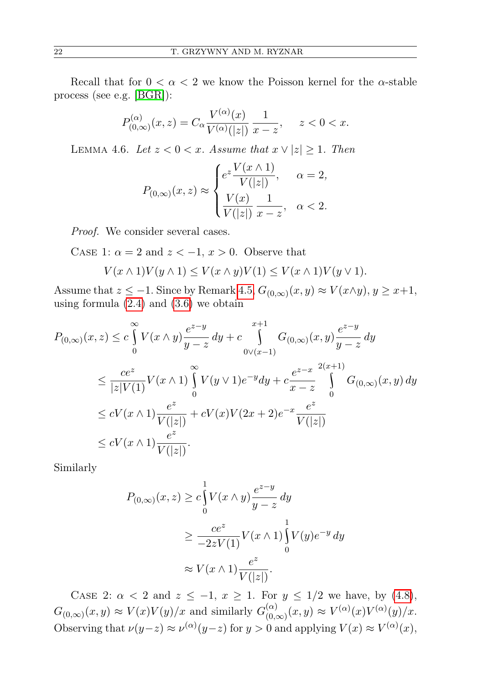Recall that for  $0 < \alpha < 2$  we know the Poisson kernel for the  $\alpha$ -stable process (see e.g. [\[BGR\]](#page-32-15)):

$$
P_{(0,\infty)}^{(\alpha)}(x,z) = C_{\alpha} \frac{V^{(\alpha)}(x)}{V^{(\alpha)}(|z|)} \frac{1}{x-z}, \quad z < 0 < x.
$$

<span id="page-15-0"></span>LEMMA 4.6. Let  $z < 0 < x$ . Assume that  $x \vee |z| \geq 1$ . Then

$$
P_{(0,\infty)}(x,z) \approx \begin{cases} e^z \frac{V(x \wedge 1)}{V(|z|)}, & \alpha = 2, \\ \frac{V(x)}{V(|z|)} \frac{1}{x-z}, & \alpha < 2. \end{cases}
$$

Proof. We consider several cases.

CASE 1:  $\alpha = 2$  and  $z < -1$ ,  $x > 0$ . Observe that

$$
V(x \wedge 1)V(y \wedge 1) \le V(x \wedge y)V(1) \le V(x \wedge 1)V(y \vee 1).
$$

Assume that  $z \leq -1$ . Since by Remark [4.5,](#page-14-2)  $G_{(0,\infty)}(x,y) \approx V(x \wedge y)$ ,  $y \geq x+1$ , using formula  $(2.4)$  and  $(3.6)$  we obtain

$$
P_{(0,\infty)}(x,z) \le c \int_{0}^{\infty} V(x \wedge y) \frac{e^{z-y}}{y-z} dy + c \int_{0 \vee (x-1)}^{x+1} G_{(0,\infty)}(x,y) \frac{e^{z-y}}{y-z} dy
$$
  
\n
$$
\le \frac{ce^z}{|z|V(1)} V(x \wedge 1) \int_{0}^{\infty} V(y \vee 1) e^{-y} dy + c \frac{e^{z-x}}{x-z} \int_{0}^{2(x+1)} G_{(0,\infty)}(x,y) dy
$$
  
\n
$$
\le cV(x \wedge 1) \frac{e^z}{V(|z|)} + cV(x)V(2x+2)e^{-x} \frac{e^z}{V(|z|)}
$$
  
\n
$$
\le cV(x \wedge 1) \frac{e^z}{V(|z|)}.
$$

Similarly

$$
P_{(0,\infty)}(x,z) \ge c \int_0^1 V(x \wedge y) \frac{e^{z-y}}{y-z} dy
$$
  
\n
$$
\ge \frac{ce^z}{-2zV(1)} V(x \wedge 1) \int_0^1 V(y) e^{-y} dy
$$
  
\n
$$
\approx V(x \wedge 1) \frac{e^z}{V(|z|)}.
$$

CASE 2:  $\alpha < 2$  and  $z \le -1$ ,  $x \ge 1$ . For  $y \le 1/2$  we have, by [\(4.8\)](#page-12-2),  $G_{(0,\infty)}(x,y) \approx V(x)V(y)/x$  and similarly  $G_{(0,\infty)}^{(\alpha)}$  $\binom{\alpha}{0,\infty}(x,y) \approx V^{(\alpha)}(x)V^{(\alpha)}(y)/x.$ Observing that  $\nu(y-z) \approx \nu^{(\alpha)}(y-z)$  for  $y > 0$  and applying  $V(x) \approx V^{(\alpha)}(x)$ ,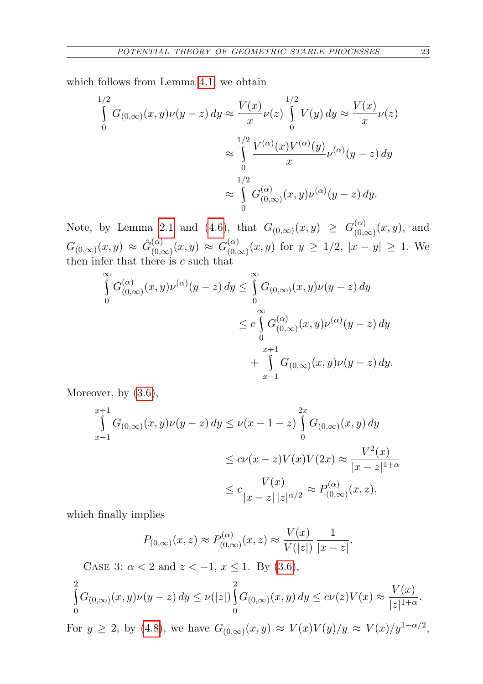which follows from Lemma [4.1,](#page-9-0) we obtain

$$
\int_{0}^{1/2} G_{(0,\infty)}(x,y)\nu(y-z) \, dy \approx \frac{V(x)}{x} \nu(z) \int_{0}^{1/2} V(y) \, dy \approx \frac{V(x)}{x} \nu(z)
$$

$$
\approx \int_{0}^{1/2} \frac{V^{(\alpha)}(x)V^{(\alpha)}(y)}{x} \nu^{(\alpha)}(y-z) \, dy
$$

$$
\approx \int_{0}^{1/2} G_{(0,\infty)}^{(\alpha)}(x,y)\nu^{(\alpha)}(y-z) \, dy.
$$

Note, by Lemma [2.1](#page-5-1) and [\(4.6\)](#page-12-1), that  $G_{(0,\infty)}(x,y) \geq G_{(0,\infty)}^{(\alpha)}$  $\binom{(\alpha)}{(0,\infty)}(x,y)$ , and  $G_{(0,\infty)}(x,y) \approx \hat{G}_{(0,\alpha)}^{(\alpha)}$  $\binom{(\alpha)}{(0,\infty)}(x,y) \approx G_{(0,\alpha)}^{(\alpha)}$  $\binom{(\alpha)}{(0,\infty)}(x,y)$  for  $y \geq 1/2$ ,  $|x-y| \geq 1$ . We then infer that there is  $c$  such that

$$
\int_{0}^{\infty} G_{(0,\infty)}^{(\alpha)}(x,y)\nu^{(\alpha)}(y-z) \, dy \leq \int_{0}^{\infty} G_{(0,\infty)}(x,y)\nu(y-z) \, dy
$$
\n
$$
\leq c \int_{0}^{\infty} G_{(0,\infty)}^{(\alpha)}(x,y)\nu^{(\alpha)}(y-z) \, dy
$$
\n
$$
+ \int_{x-1}^{x+1} G_{(0,\infty)}(x,y)\nu(y-z) \, dy.
$$

Moreover, by  $(3.6)$ ,

$$
\int_{x-1}^{x+1} G_{(0,\infty)}(x,y)\nu(y-z) \, dy \le \nu(x-1-z) \int_{0}^{2x} G_{(0,\infty)}(x,y) \, dy
$$
\n
$$
\le c\nu(x-z)V(x)V(2x) \approx \frac{V^2(x)}{|x-z|^{1+\alpha}}
$$
\n
$$
\le c\frac{V(x)}{|x-z||z|^{\alpha/2}} \approx P_{(0,\infty)}^{(\alpha)}(x,z),
$$

which finally implies

$$
P_{(0,\infty)}(x,z) \approx P_{(0,\infty)}^{(\alpha)}(x,z) \approx \frac{V(x)}{V(|z|)} \frac{1}{|x-z|}.
$$

CASE 3: 
$$
\alpha < 2
$$
 and  $z < -1$ ,  $x \leq 1$ . By (3.6),\n\n
$$
\int_{0}^{2} G_{(0,\infty)}(x,y)\nu(y-z)\,dy \leq \nu(|z|) \int_{0}^{2} G_{(0,\infty)}(x,y)\,dy \leq c\nu(z)V(x) \approx \frac{V(x)}{|z|^{1+\alpha}}.
$$
\nFor  $y \geq 2$ , by (4.8), we have  $G_{(0,\infty)}(x,y) \approx V(x)V(y)/y \approx V(x)/y^{1-\alpha/2}$ 

,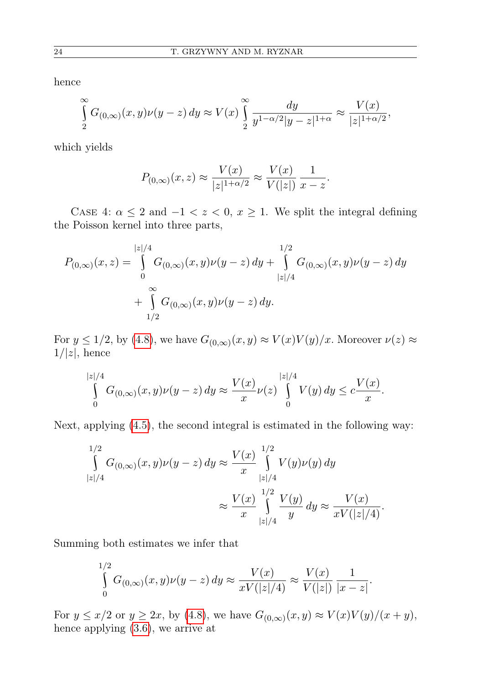hence

$$
\int_{2}^{\infty} G_{(0,\infty)}(x,y)\nu(y-z) dy \approx V(x) \int_{2}^{\infty} \frac{dy}{y^{1-\alpha/2}|y-z|^{1+\alpha}} \approx \frac{V(x)}{|z|^{1+\alpha/2}},
$$

which yields

$$
P_{(0,\infty)}(x,z) \approx \frac{V(x)}{|z|^{1+\alpha/2}} \approx \frac{V(x)}{V(|z|)} \frac{1}{x-z}.
$$

CASE 4:  $\alpha \leq 2$  and  $-1 < z < 0$ ,  $x \geq 1$ . We split the integral defining the Poisson kernel into three parts,

$$
P_{(0,\infty)}(x,z) = \int_{0}^{|z|/4} G_{(0,\infty)}(x,y)\nu(y-z) dy + \int_{|z|/4}^{1/2} G_{(0,\infty)}(x,y)\nu(y-z) dy
$$
  
+ 
$$
\int_{1/2}^{\infty} G_{(0,\infty)}(x,y)\nu(y-z) dy.
$$

For  $y \le 1/2$ , by [\(4.8\)](#page-12-2), we have  $G_{(0,\infty)}(x,y) \approx V(x)V(y)/x$ . Moreover  $\nu(z) \approx$  $1/|z|$ , hence

$$
\int_{0}^{|z|/4} G_{(0,\infty)}(x,y)\nu(y-z) \, dy \approx \frac{V(x)}{x} \nu(z) \int_{0}^{|z|/4} V(y) \, dy \leq c \frac{V(x)}{x}.
$$

Next, applying [\(4.5\)](#page-10-2), the second integral is estimated in the following way:

$$
\int_{|z|/4}^{1/2} G_{(0,\infty)}(x,y)\nu(y-z) \, dy \approx \frac{V(x)}{x} \int_{|z|/4}^{1/2} V(y)\nu(y) \, dy
$$

$$
\approx \frac{V(x)}{x} \int_{|z|/4}^{1/2} \frac{V(y)}{y} \, dy \approx \frac{V(x)}{xV(|z|/4)}.
$$

Summing both estimates we infer that

$$
\int_{0}^{1/2} G_{(0,\infty)}(x,y)\nu(y-z) \, dy \approx \frac{V(x)}{xV(|z|/4)} \approx \frac{V(x)}{V(|z|)} \frac{1}{|x-z|}.
$$

For  $y \leq x/2$  or  $y \geq 2x$ , by [\(4.8\)](#page-12-2), we have  $G_{(0,\infty)}(x,y) \approx V(x)V(y)/(x+y)$ , hence applying [\(3.6\)](#page-8-0), we arrive at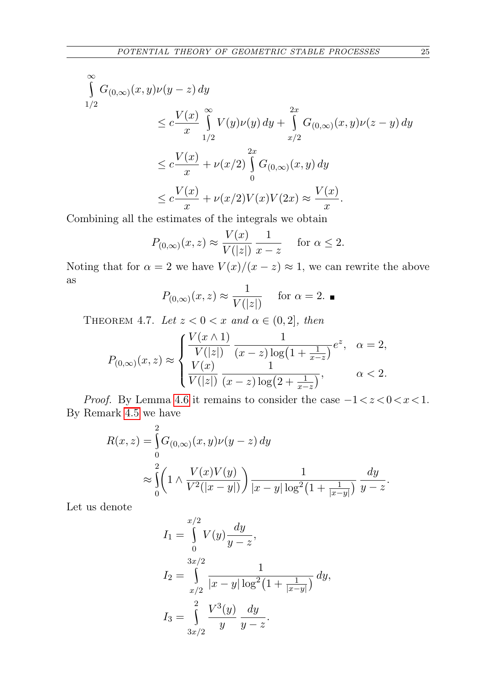$$
\int_{1/2}^{\infty} G_{(0,\infty)}(x,y)\nu(y-z) dy
$$
\n
$$
\leq c \frac{V(x)}{x} \int_{1/2}^{\infty} V(y)\nu(y) dy + \int_{x/2}^{2x} G_{(0,\infty)}(x,y)\nu(z-y) dy
$$
\n
$$
\leq c \frac{V(x)}{x} + \nu(x/2) \int_{0}^{2x} G_{(0,\infty)}(x,y) dy
$$
\n
$$
\leq c \frac{V(x)}{x} + \nu(x/2) V(x) V(2x) \approx \frac{V(x)}{x}.
$$

Combining all the estimates of the integrals we obtain

$$
P_{(0,\infty)}(x,z) \approx \frac{V(x)}{V(|z|)} \frac{1}{x-z}
$$
 for  $\alpha \le 2$ .

Noting that for  $\alpha = 2$  we have  $V(x)/(x - z) \approx 1$ , we can rewrite the above as

$$
P_{(0,\infty)}(x,z) \approx \frac{1}{V(|z|)}
$$
 for  $\alpha = 2$ .

<span id="page-18-0"></span>THEOREM 4.7. Let  $z < 0 < x$  and  $\alpha \in (0, 2]$ , then

$$
P_{(0,\infty)}(x,z) \approx \begin{cases} \frac{V(x \wedge 1)}{V(|z|)} \frac{1}{(x-z) \log\left(1 + \frac{1}{x-z}\right)} e^z, & \alpha = 2, \\ \frac{V(x)}{V(|z|)} \frac{1}{(x-z) \log\left(2 + \frac{1}{x-z}\right)}, & \alpha < 2. \end{cases}
$$

*Proof.* By Lemma [4.6](#page-15-0) it remains to consider the case  $-1 < z < 0 < x < 1$ . By Remark [4.5](#page-14-2) we have

$$
R(x, z) = \int_{0}^{2} G_{(0, \infty)}(x, y) \nu(y - z) dy
$$
  
 
$$
\approx \int_{0}^{2} \left( 1 \wedge \frac{V(x)V(y)}{V^2(|x - y|)} \right) \frac{1}{|x - y| \log^2(1 + \frac{1}{|x - y|})} \frac{dy}{y - z}.
$$

Let us denote

$$
I_1 = \int_0^{x/2} V(y) \frac{dy}{y - z},
$$
  
\n
$$
I_2 = \int_{x/2}^{3x/2} \frac{1}{|x - y| \log^2(1 + \frac{1}{|x - y|})} dy,
$$
  
\n
$$
I_3 = \int_{3x/2}^{2} \frac{V^3(y)}{y} \frac{dy}{y - z}.
$$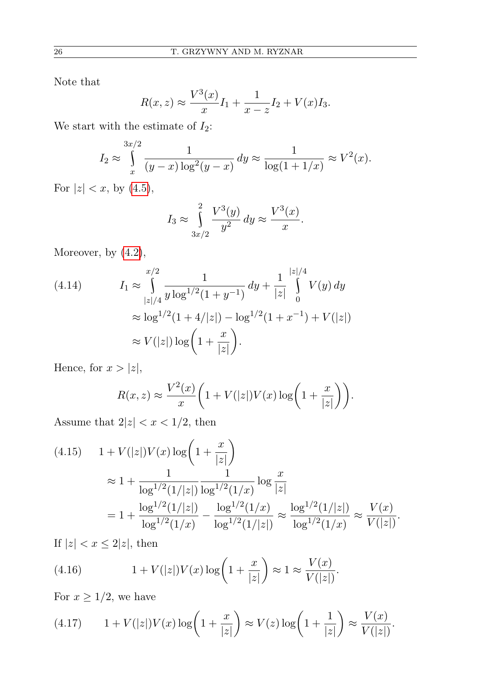Note that

$$
R(x, z) \approx \frac{V^3(x)}{x}I_1 + \frac{1}{x - z}I_2 + V(x)I_3.
$$

We start with the estimate of  $I_2$ :

$$
I_2 \approx \int_{x}^{3x/2} \frac{1}{(y-x)\log^2(y-x)} dy \approx \frac{1}{\log(1+1/x)} \approx V^2(x).
$$

For  $|z| < x$ , by [\(4.5\)](#page-10-2),

$$
I_3 \approx \int_{3x/2}^{2} \frac{V^3(y)}{y^2} dy \approx \frac{V^3(x)}{x}.
$$

Moreover, by [\(4.2\)](#page-10-4),

(4.14) 
$$
I_1 \approx \int_{|z|/4}^{x/2} \frac{1}{y \log^{1/2}(1+y^{-1})} dy + \frac{1}{|z|} \int_{0}^{|z|/4} V(y) dy
$$

$$
\approx \log^{1/2}(1+4/|z|) - \log^{1/2}(1+x^{-1}) + V(|z|)
$$

$$
\approx V(|z|) \log\left(1+\frac{x}{|z|}\right).
$$

Hence, for  $x > |z|$ ,

$$
R(x, z) \approx \frac{V^2(x)}{x} \bigg( 1 + V(|z|)V(x) \log \bigg( 1 + \frac{x}{|z|} \bigg) \bigg).
$$

Assume that  $2|z| < x < 1/2$ , then

<span id="page-19-0"></span>
$$
(4.15) \quad 1 + V(|z|)V(x) \log\left(1 + \frac{x}{|z|}\right)
$$
  

$$
\approx 1 + \frac{1}{\log^{1/2}(1/|z|)} \frac{1}{\log^{1/2}(1/x)} \log \frac{x}{|z|}
$$
  

$$
= 1 + \frac{\log^{1/2}(1/|z|)}{\log^{1/2}(1/x)} - \frac{\log^{1/2}(1/x)}{\log^{1/2}(1/|z|)} \approx \frac{\log^{1/2}(1/|z|)}{\log^{1/2}(1/x)} \approx \frac{V(x)}{V(|z|)}.
$$

If  $|z| < x \leq 2|z|$ , then

(4.16) 
$$
1 + V(|z|)V(x) \log\left(1 + \frac{x}{|z|}\right) \approx 1 \approx \frac{V(x)}{V(|z|)}.
$$

For  $x \geq 1/2$ , we have

<span id="page-19-1"></span>
$$
(4.17) \qquad 1 + V(|z|)V(x)\log\left(1 + \frac{x}{|z|}\right) \approx V(z)\log\left(1 + \frac{1}{|z|}\right) \approx \frac{V(x)}{V(|z|)}.
$$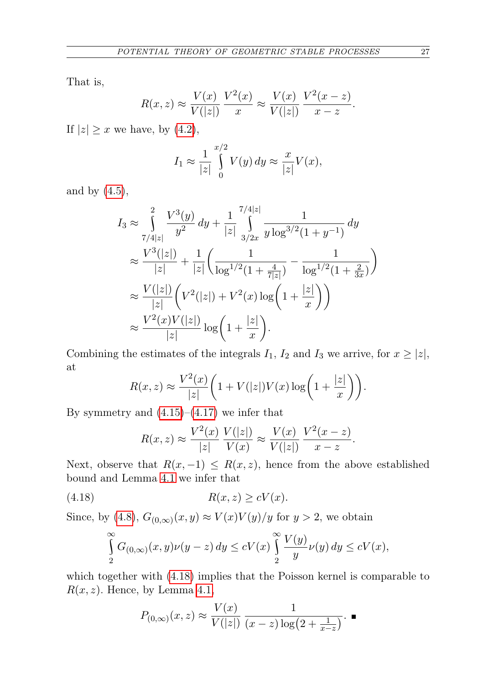That is,

$$
R(x,z) \approx \frac{V(x)}{V(|z|)} \frac{V^2(x)}{x} \approx \frac{V(x)}{V(|z|)} \frac{V^2(x-z)}{x-z}.
$$

If  $|z| \geq x$  we have, by [\(4.2\)](#page-10-4),

$$
I_1 \approx \frac{1}{|z|} \int_0^{x/2} V(y) \, dy \approx \frac{x}{|z|} V(x),
$$

and by  $(4.5)$ ,

$$
I_3 \approx \int_{7/4|z|}^2 \frac{V^3(y)}{y^2} dy + \frac{1}{|z|} \int_{3/2x}^{7/4|z|} \frac{1}{y \log^{3/2}(1+y^{-1})} dy
$$
  
\n
$$
\approx \frac{V^3(|z|)}{|z|} + \frac{1}{|z|} \left( \frac{1}{\log^{1/2}(1+\frac{4}{7|z|})} - \frac{1}{\log^{1/2}(1+\frac{2}{3x})} \right)
$$
  
\n
$$
\approx \frac{V(|z|)}{|z|} \left( V^2(|z|) + V^2(x) \log \left( 1 + \frac{|z|}{x} \right) \right)
$$
  
\n
$$
\approx \frac{V^2(x)V(|z|)}{|z|} \log \left( 1 + \frac{|z|}{x} \right).
$$

Combining the estimates of the integrals  $I_1$ ,  $I_2$  and  $I_3$  we arrive, for  $x \ge |z|$ , at

$$
R(x, z) \approx \frac{V^2(x)}{|z|} \bigg( 1 + V(|z|)V(x) \log \bigg( 1 + \frac{|z|}{x} \bigg) \bigg).
$$

By symmetry and  $(4.15)$ – $(4.17)$  we infer that

<span id="page-20-0"></span>
$$
R(x,z) \approx \frac{V^2(x)}{|z|} \frac{V(|z|)}{V(x)} \approx \frac{V(x)}{V(|z|)} \frac{V^2(x-z)}{x-z}.
$$

Next, observe that  $R(x, -1) \leq R(x, z)$ , hence from the above established bound and Lemma [4.1](#page-9-0) we infer that

$$
(4.18) \t R(x, z) \ge cV(x).
$$

Since, by [\(4.8\)](#page-12-2),  $G_{(0,\infty)}(x,y) \approx V(x)V(y)/y$  for  $y > 2$ , we obtain

$$
\int_{2}^{\infty} G_{(0,\infty)}(x,y)\nu(y-z) dy \le cV(x) \int_{2}^{\infty} \frac{V(y)}{y} \nu(y) dy \le cV(x),
$$

<span id="page-20-1"></span>which together with [\(4.18\)](#page-20-0) implies that the Poisson kernel is comparable to  $R(x, z)$ . Hence, by Lemma [4.1,](#page-9-0)

$$
P_{(0,\infty)}(x,z) \approx \frac{V(x)}{V(|z|)} \frac{1}{(x-z)\log(2+\frac{1}{x-z})}
$$
.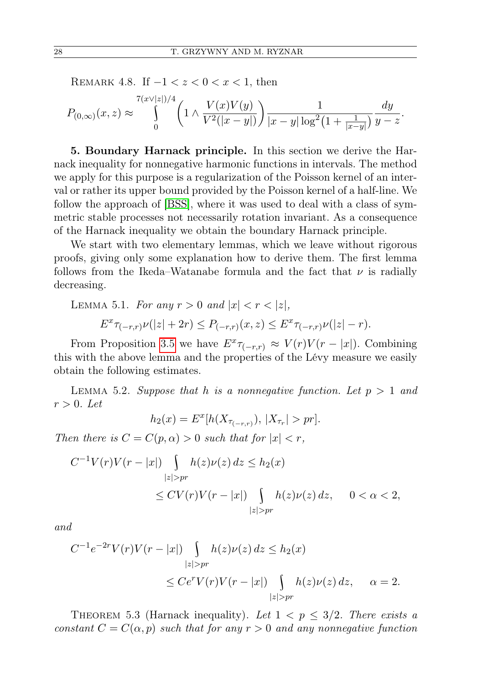REMARK 4.8. If  $-1 < z < 0 < x < 1$ , then

$$
P_{(0,\infty)}(x,z) \approx \int_{0}^{7(x\vee|z|)/4} \left(1 \wedge \frac{V(x)V(y)}{V^2(|x-y|)}\right) \frac{1}{|x-y|\log^2(1+\frac{1}{|x-y|})} \frac{dy}{y-z}.
$$

5. Boundary Harnack principle. In this section we derive the Harnack inequality for nonnegative harmonic functions in intervals. The method we apply for this purpose is a regularization of the Poisson kernel of an interval or rather its upper bound provided by the Poisson kernel of a half-line. We follow the approach of [\[BSS\]](#page-32-16), where it was used to deal with a class of symmetric stable processes not necessarily rotation invariant. As a consequence of the Harnack inequality we obtain the boundary Harnack principle.

We start with two elementary lemmas, which we leave without rigorous proofs, giving only some explanation how to derive them. The first lemma follows from the Ikeda–Watanabe formula and the fact that  $\nu$  is radially decreasing.

<span id="page-21-2"></span>LEMMA 5.1. For any 
$$
r > 0
$$
 and  $|x| < r < |z|$ ,  
\n
$$
E^{x}\tau_{(-r,r)}\nu(|z|+2r) \le P_{(-r,r)}(x,z) \le E^{x}\tau_{(-r,r)}\nu(|z|-r).
$$

From Proposition [3.5](#page-7-1) we have  $E^x \tau_{(-r,r)} \approx V(r)V(r-|x|)$ . Combining this with the above lemma and the properties of the Lévy measure we easily obtain the following estimates.

<span id="page-21-0"></span>LEMMA 5.2. Suppose that h is a nonnegative function. Let  $p > 1$  and  $r > 0$ . Let

$$
h_2(x) = E^x[h(X_{\tau_{(-r,r)}}), |X_{\tau_r}| > pr].
$$

Then there is  $C = C(p, \alpha) > 0$  such that for  $|x| < r$ ,

$$
C^{-1}V(r)V(r-|x|)\int_{|z|>pr}h(z)\nu(z)\,dz \le h_2(x)
$$
  

$$
\le CV(r)V(r-|x|)\int_{|z|>pr}h(z)\nu(z)\,dz, \quad 0 < \alpha < 2,
$$

and

$$
C^{-1}e^{-2r}V(r)V(r-|x|)\int_{|z|>pr}h(z)\nu(z)\,dz \leq h_2(x)
$$
  

$$
\leq Ce^rV(r)V(r-|x|)\int_{|z|>pr}h(z)\nu(z)\,dz, \quad \alpha=2.
$$

<span id="page-21-1"></span>THEOREM 5.3 (Harnack inequality). Let  $1 < p \leq 3/2$ . There exists a constant  $C = C(\alpha, p)$  such that for any  $r > 0$  and any nonnegative function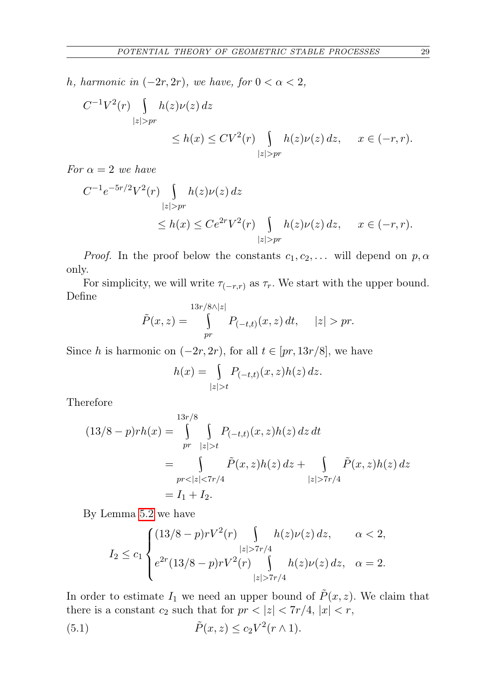h, harmonic in  $(-2r, 2r)$ , we have, for  $0 < \alpha < 2$ ,

$$
C^{-1}V^{2}(r) \int_{|z|>pr} h(z)\nu(z) dz
$$
  

$$
\leq h(x) \leq CV^{2}(r) \int_{|z|>pr} h(z)\nu(z) dz, \quad x \in (-r,r).
$$

For  $\alpha = 2$  we have

$$
C^{-1}e^{-5r/2}V^2(r)\int_{|z|>pr}h(z)\nu(z)\,dz
$$
  
\n
$$
\leq h(x) \leq Ce^{2r}V^2(r)\int_{|z|>pr}h(z)\nu(z)\,dz, \quad x \in (-r,r).
$$

*Proof.* In the proof below the constants  $c_1, c_2, \ldots$  will depend on  $p, \alpha$ only.

For simplicity, we will write  $\tau_{(-r,r)}$  as  $\tau_r$ . We start with the upper bound. Define

$$
\tilde{P}(x,z) = \int_{pr}^{13r/8 \wedge |z|} P_{(-t,t)}(x,z) dt, \quad |z| > pr.
$$

Since h is harmonic on  $(-2r, 2r)$ , for all  $t \in [pr, 13r/8]$ , we have

$$
h(x) = \int_{|z|>t} P_{(-t,t)}(x,z)h(z) dz.
$$

Therefore

$$
(13/8 - p)rh(x) = \int_{pr}^{13r/8} \int_{|z| > t} P_{(-t,t)}(x, z)h(z) dz dt
$$
  
= 
$$
\int_{pr < |z| < 7r/4} \tilde{P}(x, z)h(z) dz + \int_{|z| > 7r/4} \tilde{P}(x, z)h(z) dz
$$
  
=  $I_1 + I_2$ .

By Lemma [5.2](#page-21-0) we have

<span id="page-22-0"></span>
$$
I_2 \le c_1 \begin{cases} (13/8 - p)rV^2(r) \int h(z)\nu(z) dz, & \alpha < 2, \\ e^{2r}(13/8 - p)rV^2(r) \int h(z)\nu(z) dz, & \alpha = 2. \\ |z| > 7r/4 \end{cases}
$$

In order to estimate  $I_1$  we need an upper bound of  $\tilde{P}(x, z)$ . We claim that there is a constant  $c_2$  such that for  $pr < |z| < 7r/4$ ,  $|x| < r$ ,

(5.1) 
$$
\tilde{P}(x, z) \le c_2 V^2(r \wedge 1).
$$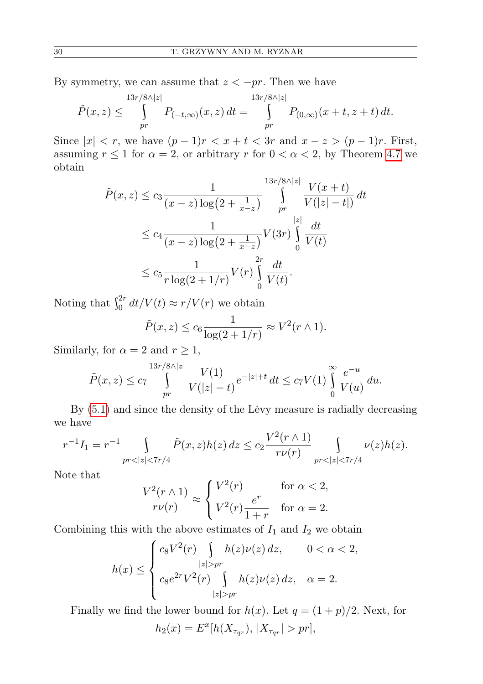By symmetry, we can assume that  $z < -pr$ . Then we have

$$
\tilde{P}(x,z) \leq \int\limits_{pr}^{13r/8\wedge|z|} P_{(-t,\infty)}(x,z) dt = \int\limits_{pr}^{13r/8\wedge|z|} P_{(0,\infty)}(x+t,z+t) dt.
$$

Since  $|x| < r$ , we have  $(p-1)r < x+t < 3r$  and  $x-z > (p-1)r$ . First, assuming  $r \leq 1$  for  $\alpha = 2$ , or arbitrary r for  $0 < \alpha < 2$ , by Theorem [4.7](#page-18-0) we obtain

$$
\tilde{P}(x, z) \le c_3 \frac{1}{(x - z) \log(2 + \frac{1}{x - z})} \int_{pr}^{13r/8 \wedge |z|} \frac{V(x + t)}{V(|z| - t|)} dt
$$
\n
$$
\le c_4 \frac{1}{(x - z) \log(2 + \frac{1}{x - z})} V(3r) \int_0^{|z|} \frac{dt}{V(t)}
$$
\n
$$
\le c_5 \frac{1}{r \log(2 + 1/r)} V(r) \int_0^{2r} \frac{dt}{V(t)}.
$$

Noting that  $\int_0^{2r} dt/V(t) \approx r/V(r)$  we obtain

$$
\tilde{P}(x,z) \le c_6 \frac{1}{\log(2+1/r)} \approx V^2(r \wedge 1).
$$

Similarly, for  $\alpha = 2$  and  $r \geq 1$ ,

$$
\tilde{P}(x,z) \le c_7 \int_{pr}^{13r/8\wedge|z|} \frac{V(1)}{V(|z|-t)} e^{-|z|+t} dt \le c_7 V(1) \int_{0}^{\infty} \frac{e^{-u}}{V(u)} du.
$$

By [\(5.1\)](#page-22-0) and since the density of the Lévy measure is radially decreasing we have

$$
r^{-1}I_1 = r^{-1} \int \limits_{pr<|z|<7r/4} \tilde{P}(x,z)h(z) dz \le c_2 \frac{V^2(r\wedge 1)}{r\nu(r)} \int \limits_{pr<|z|<7r/4} \nu(z)h(z).
$$

Note that

$$
\frac{V^2(r \wedge 1)}{r\nu(r)} \approx \begin{cases} V^2(r) & \text{for } \alpha < 2, \\ V^2(r) \frac{e^r}{1+r} & \text{for } \alpha = 2. \end{cases}
$$

Combining this with the above estimates of  $I_1$  and  $I_2$  we obtain

$$
h(x) \le \begin{cases} c_8 V^2(r) \int\limits_{|z|>pr} h(z) \nu(z) dz, & 0 < \alpha < 2, \\ c_8 e^{2r} V^2(r) \int\limits_{|z|>pr} h(z) \nu(z) dz, & \alpha = 2. \end{cases}
$$

Finally we find the lower bound for  $h(x)$ . Let  $q = (1 + p)/2$ . Next, for  $h_2(x) = E^x[h(X_{\tau_{qr}}), |X_{\tau_{qr}}| > pr],$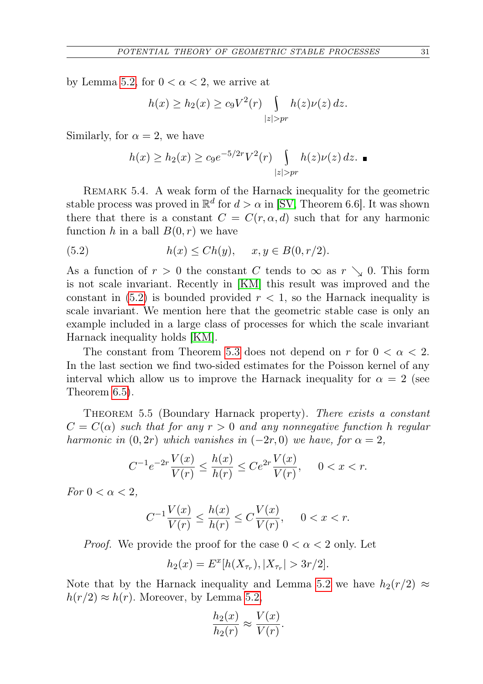by Lemma [5.2,](#page-21-0) for  $0 < \alpha < 2$ , we arrive at

$$
h(x) \ge h_2(x) \ge c_9 V^2(r) \int_{|z|>pr} h(z) \nu(z) dz.
$$

Similarly, for  $\alpha = 2$ , we have

<span id="page-24-0"></span>
$$
h(x) \ge h_2(x) \ge c_9 e^{-5/2r} V^2(r) \int_{|z|>pr} h(z) \nu(z) dz.
$$

REMARK 5.4. A weak form of the Harnack inequality for the geometric stable process was proved in  $\mathbb{R}^d$  for  $d > \alpha$  in [\[SV,](#page-33-1) Theorem 6.6]. It was shown there that there is a constant  $C = C(r, \alpha, d)$  such that for any harmonic function h in a ball  $B(0,r)$  we have

(5.2) 
$$
h(x) \leq Ch(y), \quad x, y \in B(0, r/2).
$$

As a function of  $r > 0$  the constant C tends to  $\infty$  as  $r \searrow 0$ . This form is not scale invariant. Recently in [\[KM\]](#page-32-4) this result was improved and the constant in  $(5.2)$  is bounded provided  $r < 1$ , so the Harnack inequality is scale invariant. We mention here that the geometric stable case is only an example included in a large class of processes for which the scale invariant Harnack inequality holds [\[KM\]](#page-32-4).

The constant from Theorem [5.3](#page-21-1) does not depend on r for  $0 < \alpha < 2$ . In the last section we find two-sided estimates for the Poisson kernel of any interval which allow us to improve the Harnack inequality for  $\alpha = 2$  (see Theorem [6.5\)](#page-31-0).

THEOREM 5.5 (Boundary Harnack property). There exists a constant  $C = C(\alpha)$  such that for any  $r > 0$  and any nonnegative function h regular harmonic in  $(0, 2r)$  which vanishes in  $(-2r, 0)$  we have, for  $\alpha = 2$ ,

$$
C^{-1}e^{-2r}\frac{V(x)}{V(r)} \le \frac{h(x)}{h(r)} \le Ce^{2r}\frac{V(x)}{V(r)}, \quad 0 < x < r.
$$

For  $0 < \alpha < 2$ ,

$$
C^{-1}\frac{V(x)}{V(r)} \le \frac{h(x)}{h(r)} \le C\frac{V(x)}{V(r)}, \quad 0 < x < r.
$$

*Proof.* We provide the proof for the case  $0 < \alpha < 2$  only. Let

$$
h_2(x) = E^x[h(X_{\tau_r}), |X_{\tau_r}| > 3r/2].
$$

Note that by the Harnack inequality and Lemma [5.2](#page-21-0) we have  $h_2(r/2) \approx$  $h(r/2) \approx h(r)$ . Moreover, by Lemma [5.2,](#page-21-0)

$$
\frac{h_2(x)}{h_2(r)} \approx \frac{V(x)}{V(r)}.
$$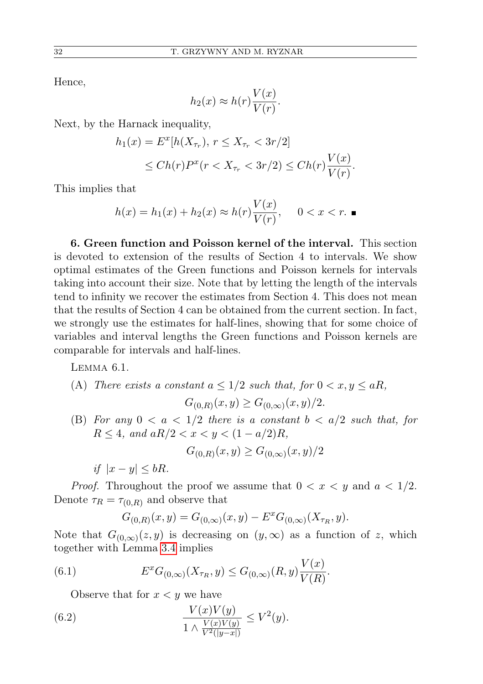Hence,

$$
h_2(x) \approx h(r) \frac{V(x)}{V(r)}.
$$

Next, by the Harnack inequality,

$$
h_1(x) = E^x[h(X_{\tau_r}), r \le X_{\tau_r} < 3r/2] \\
\le Ch(r)P^x(r < X_{\tau_r} < 3r/2) \le Ch(r)\frac{V(x)}{V(r)}.
$$

This implies that

$$
h(x) = h_1(x) + h_2(x) \approx h(r) \frac{V(x)}{V(r)}, \quad 0 < x < r. \blacksquare
$$

6. Green function and Poisson kernel of the interval. This section is devoted to extension of the results of Section 4 to intervals. We show optimal estimates of the Green functions and Poisson kernels for intervals taking into account their size. Note that by letting the length of the intervals tend to infinity we recover the estimates from Section 4. This does not mean that the results of Section 4 can be obtained from the current section. In fact, we strongly use the estimates for half-lines, showing that for some choice of variables and interval lengths the Green functions and Poisson kernels are comparable for intervals and half-lines.

<span id="page-25-2"></span>Lemma 6.1.

(A) There exists a constant 
$$
a \le 1/2
$$
 such that, for  $0 < x, y \le aR$ ,  

$$
G_{(0,R)}(x,y) \ge G_{(0,\infty)}(x,y)/2.
$$

(B) For any  $0 < a < 1/2$  there is a constant  $b < a/2$  such that, for  $R \leq 4$ , and  $aR/2 < x < y < (1 - a/2)R$ ,

$$
G_{(0,R)}(x,y) \ge G_{(0,\infty)}(x,y)/2
$$

if  $|x-y| \leq bR$ .

*Proof.* Throughout the proof we assume that  $0 < x < y$  and  $a < 1/2$ . Denote  $\tau_R = \tau_{(0,R)}$  and observe that

<span id="page-25-1"></span>
$$
G_{(0,R)}(x,y) = G_{(0,\infty)}(x,y) - E^x G_{(0,\infty)}(X_{\tau_R},y).
$$

Note that  $G_{(0,\infty)}(z,y)$  is decreasing on  $(y,\infty)$  as a function of z, which together with Lemma [3.4](#page-6-5) implies

(6.1) 
$$
E^x G_{(0,\infty)}(X_{\tau_R}, y) \le G_{(0,\infty)}(R, y) \frac{V(x)}{V(R)}.
$$

<span id="page-25-0"></span>Observe that for  $x < y$  we have

(6.2) 
$$
\frac{V(x)V(y)}{1 \wedge \frac{V(x)V(y)}{V^2(|y-x|)}} \leq V^2(y).
$$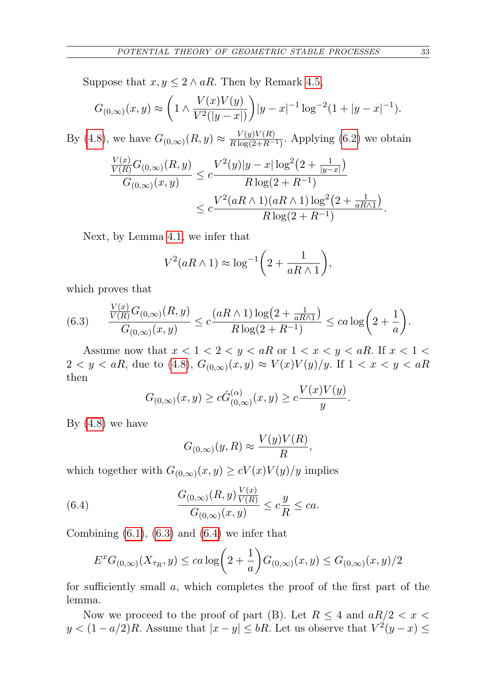Suppose that  $x, y \leq 2 \land aR$ . Then by Remark [4.5,](#page-14-2)

$$
G_{(0,\infty)}(x,y) \approx \left(1 \wedge \frac{V(x)V(y)}{V^2(|y-x|)}\right)|y-x|^{-1}\log^{-2}(1+|y-x|^{-1}).
$$

By [\(4.8\)](#page-12-2), we have  $G_{(0,\infty)}(R, y) \approx \frac{V(y)V(R)}{R \log(2+R)}$  $\frac{V(y)V(R)}{R \log(2+R^{-1})}$ . Applying [\(6.2\)](#page-25-0) we obtain

$$
\frac{\frac{V(x)}{V(R)}G_{(0,\infty)}(R,y)}{G_{(0,\infty)}(x,y)} \le c \frac{V^2(y)|y-x|\log^2(2+\frac{1}{|y-x|})}{R\log(2+R^{-1})}
$$

$$
\le c \frac{V^2(aR \wedge 1)(aR \wedge 1)\log^2(2+\frac{1}{aR \wedge 1})}{R\log(2+R^{-1})}.
$$

Next, by Lemma [4.1,](#page-9-0) we infer that

$$
V^2(aR \wedge 1) \approx \log^{-1}\left(2 + \frac{1}{aR \wedge 1}\right),\,
$$

which proves that

<span id="page-26-0"></span>(6.3) 
$$
\frac{\frac{V(x)}{V(R)}G_{(0,\infty)}(R,y)}{G_{(0,\infty)}(x,y)} \leq c \frac{(aR \wedge 1) \log(2 + \frac{1}{aR \wedge 1})}{R \log(2 + R^{-1})} \leq ca \log\left(2 + \frac{1}{a}\right).
$$

Assume now that  $x < 1 < 2 < y < aR$  or  $1 < x < y < aR$ . If  $x < 1 <$  $2 < y < aR$ , due to [\(4.8\)](#page-12-2),  $G_{(0,\infty)}(x,y) \approx V(x)V(y)/y$ . If  $1 < x < y < aR$ then

$$
G_{(0,\infty)}(x,y) \ge c\hat{G}_{(0,\infty)}^{(\alpha)}(x,y) \ge c\frac{V(x)V(y)}{y}.
$$

By  $(4.8)$  we have

<span id="page-26-1"></span>
$$
G_{(0,\infty)}(y,R) \approx \frac{V(y)V(R)}{R},
$$

which together with  $G_{(0,\infty)}(x,y) \ge cV(x)V(y)/y$  implies

(6.4) 
$$
\frac{G_{(0,\infty)}(R,y)\frac{V(x)}{V(R)}}{G_{(0,\infty)}(x,y)} \leq c\frac{y}{R} \leq ca.
$$

Combining  $(6.1)$ ,  $(6.3)$  and  $(6.4)$  we infer that

$$
E^x G_{(0,\infty)}(X_{\tau_R}, y) \leq ca \log \left(2 + \frac{1}{a}\right) G_{(0,\infty)}(x, y) \leq G_{(0,\infty)}(x, y)/2
$$

for sufficiently small a, which completes the proof of the first part of the lemma.

Now we proceed to the proof of part (B). Let  $R \leq 4$  and  $aR/2 < x <$  $y < (1 - a/2)R$ . Assume that  $|x - y| \leq bR$ . Let us observe that  $V^2(y - x) \leq$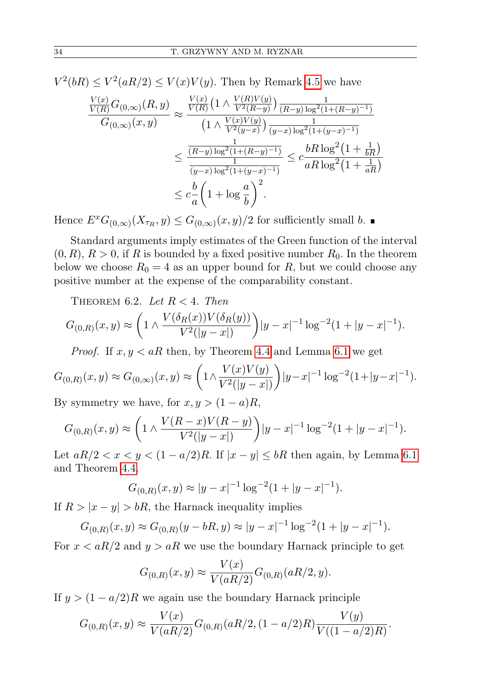$V^2(bR) \leq V^2(aR/2) \leq V(x)V(y)$ . Then by Remark [4.5](#page-14-2) we have

$$
\frac{\frac{V(x)}{V(R)}G_{(0,\infty)}(R,y)}{G_{(0,\infty)}(x,y)} \approx \frac{\frac{V(x)}{V(R)}\left(1 \wedge \frac{V(R)V(y)}{V^2(R-y)}\right) \frac{1}{(R-y)\log^2(1+(R-y)^{-1})}}{\left(1 \wedge \frac{V(x)V(y)}{V^2(y-x)}\right) \frac{1}{(y-x)\log^2(1+(y-x)^{-1})}} \le \frac{\frac{1}{(R-y)\log^2(1+(R-y)^{-1})}}{\frac{1}{(y-x)\log^2(1+(y-x)^{-1})}} \le c\frac{bR\log^2(1+\frac{1}{bR})}{aR\log^2(1+\frac{1}{aR})}
$$
  

$$
\le c\frac{b}{a}\left(1+\log\frac{a}{b}\right)^2.
$$

Hence  $E^x G_{(0,\infty)}(X_{\tau_R},y) \leq G_{(0,\infty)}(x,y)/2$  for sufficiently small b.

Standard arguments imply estimates of the Green function of the interval  $(0, R)$ ,  $R > 0$ , if R is bounded by a fixed positive number  $R_0$ . In the theorem below we choose  $R_0 = 4$  as an upper bound for R, but we could choose any positive number at the expense of the comparability constant.

<span id="page-27-0"></span>THEOREM 6.2. Let  $R < 4$ . Then

$$
G_{(0,R)}(x,y) \approx \left(1 \wedge \frac{V(\delta_R(x))V(\delta_R(y))}{V^2(|y-x|)}\right)|y-x|^{-1}\log^{-2}(1+|y-x|^{-1}).
$$

*Proof.* If  $x, y < aR$  then, by Theorem [4.4](#page-12-3) and Lemma [6.1](#page-25-2) we get

$$
G_{(0,R)}(x,y) \approx G_{(0,\infty)}(x,y) \approx \left(1 \wedge \frac{V(x)V(y)}{V^2(|y-x|)}\right)|y-x|^{-1}\log^{-2}(1+|y-x|^{-1}).
$$

By symmetry we have, for  $x, y > (1 - a)R$ ,

$$
G_{(0,R)}(x,y) \approx \left(1 \wedge \frac{V(R-x)V(R-y)}{V^2(|y-x|)}\right)|y-x|^{-1}\log^{-2}(1+|y-x|^{-1}).
$$

Let  $aR/2 < x < y < (1 - a/2)R$ . If  $|x - y| \leq bR$  then again, by Lemma [6.1](#page-25-2) and Theorem [4.4,](#page-12-3)

$$
G_{(0,R)}(x,y) \approx |y-x|^{-1} \log^{-2}(1+|y-x|^{-1}).
$$

If  $R > |x - y| > bR$ , the Harnack inequality implies

$$
G_{(0,R)}(x,y) \approx G_{(0,R)}(y-bR,y) \approx |y-x|^{-1} \log^{-2}(1+|y-x|^{-1}).
$$

For  $x < aR/2$  and  $y > aR$  we use the boundary Harnack principle to get

$$
G_{(0,R)}(x,y) \approx \frac{V(x)}{V(aR/2)} G_{(0,R)}(aR/2, y).
$$

If  $y > (1 - a/2)R$  we again use the boundary Harnack principle

$$
G_{(0,R)}(x,y) \approx \frac{V(x)}{V(aR/2)} G_{(0,R)}(aR/2, (1-a/2)R) \frac{V(y)}{V((1-a/2)R)}.
$$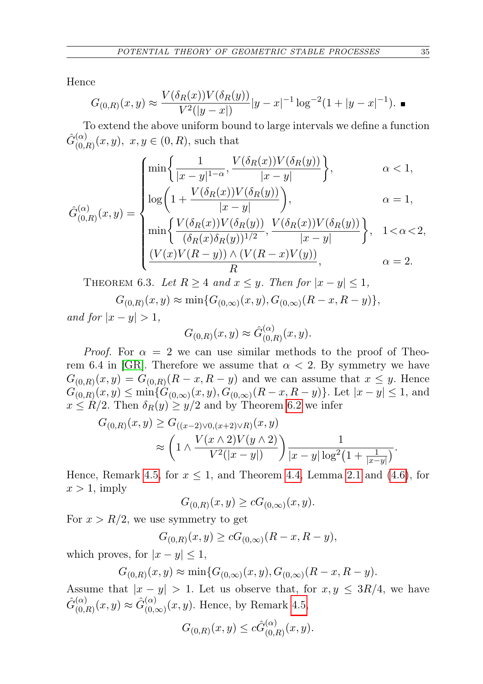Hence

$$
G_{(0,R)}(x,y) \approx \frac{V(\delta_R(x))V(\delta_R(y))}{V^2(|y-x|)}|y-x|^{-1}\log^{-2}(1+|y-x|^{-1}).
$$

To extend the above uniform bound to large intervals we define a function  $\hat{G}^{(\alpha)}_{(\alpha)}$  $_{(0,R)}^{(\alpha)}(x,y), x,y \in (0,R)$ , such that

$$
\begin{cases}\n\min\left\{\frac{1}{|x-y|^{1-\alpha}}, \frac{V(\delta_R(x))V(\delta_R(y))}{|x-y|}\right\}, & \alpha < 1, \\
\log\left(1 + \frac{V(\delta_R(x))V(\delta_R(y))}{|x-y|}\right), & \alpha = 1,\n\end{cases}
$$

$$
\hat{G}_{(0,R)}^{(\alpha)}(x,y) = \begin{cases}\n\log \left( \frac{|x-y|}{|x-y|} \right), & \text{if } x \neq 0, \\
\min \left\{ \frac{V(\delta_R(x))V(\delta_R(y))}{(\delta_R(x)\delta_R(y))^{1/2}}, \frac{V(\delta_R(x))V(\delta_R(y))}{|x-y|} \right\}, & 1 < \alpha < 2, \\
\frac{(V(x)V(R-y)) \wedge (V(R-x)V(y))}{R}, & \alpha = 2.\n\end{cases}
$$

<span id="page-28-0"></span>THEOREM 6.3. Let  $R \geq 4$  and  $x \leq y$ . Then for  $|x - y| \leq 1$ ,  $G_{(0,R)}(x,y) \approx \min\{G_{(0,\infty)}(x,y), G_{(0,\infty)}(R-x,R-y)\},$ and for  $|x-y| > 1$ ,

$$
G_{(0,R)}(x,y) \approx \hat{G}_{(0,R)}^{(\alpha)}(x,y).
$$

*Proof.* For  $\alpha = 2$  we can use similar methods to the proof of Theo-rem 6.4 in [\[GR\]](#page-32-8). Therefore we assume that  $\alpha < 2$ . By symmetry we have  $G_{(0,R)}(x,y) = G_{(0,R)}(R-x,R-y)$  and we can assume that  $x \leq y$ . Hence  $G_{(0,R)}(x,y) \le \min\{G_{(0,\infty)}(x,y), G_{(0,\infty)}(R-x,R-y)\}.$  Let  $|x-y| \le 1$ , and  $x \leq R/2$ . Then  $\delta_R(y) \geq y/2$  and by Theorem [6.2](#page-27-0) we infer

$$
G_{(0,R)}(x,y) \ge G_{((x-2)\vee 0,(x+2)\vee R)}(x,y)
$$
  
 
$$
\approx \left(1 \wedge \frac{V(x \wedge 2)V(y \wedge 2)}{V^2(|x-y|)}\right) \frac{1}{|x-y| \log^2(1+\frac{1}{|x-y|})}.
$$

Hence, Remark [4.5,](#page-14-2) for  $x \leq 1$ , and Theorem [4.4,](#page-12-3) Lemma [2.1](#page-5-1) and [\(4.6\)](#page-12-1), for  $x > 1$ , imply

$$
G_{(0,R)}(x,y) \ge cG_{(0,\infty)}(x,y).
$$

For  $x > R/2$ , we use symmetry to get

$$
G_{(0,R)}(x,y) \ge cG_{(0,\infty)}(R-x, R-y),
$$

which proves, for  $|x - y| \leq 1$ ,

 $G_{(0,R)}(x,y) \approx \min\{G_{(0,\infty)}(x,y), G_{(0,\infty)}(R-x,R-y).$ 

Assume that  $|x - y| > 1$ . Let us observe that, for  $x, y \leq 3R/4$ , we have  $\hat{G}_{(0)}^{(\alpha)}$  $\hat{G}_{(0,R)}^{(\alpha)}(x,y) \approx \hat{G}_{(0,\alpha)}^{(\alpha)}$  $\binom{\alpha}{(0,\infty)}(x,y)$ . Hence, by Remark [4.5,](#page-14-2)

$$
G_{(0,R)}(x,y) \leq c\hat{G}_{(0,R)}^{(\alpha)}(x,y).
$$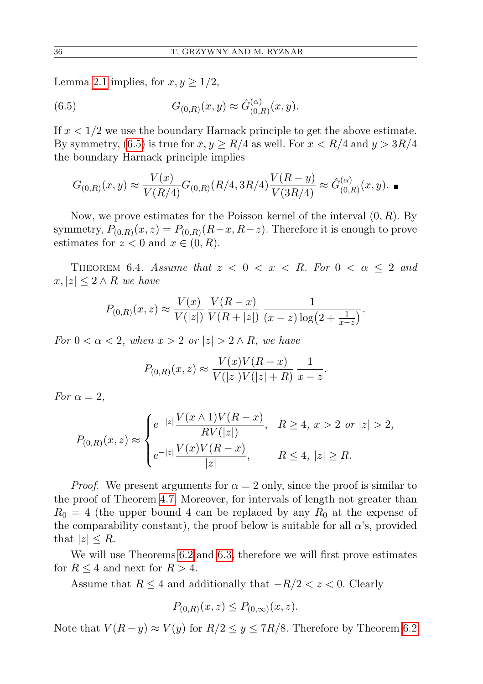Lemma [2.1](#page-5-1) implies, for  $x, y \geq 1/2$ ,

<span id="page-29-0"></span>(6.5) 
$$
G_{(0,R)}(x,y) \approx \hat{G}_{(0,R)}^{(\alpha)}(x,y).
$$

If  $x < 1/2$  we use the boundary Harnack principle to get the above estimate. By symmetry, [\(6.5\)](#page-29-0) is true for  $x, y \ge R/4$  as well. For  $x < R/4$  and  $y > 3R/4$ the boundary Harnack principle implies

$$
G_{(0,R)}(x,y) \approx \frac{V(x)}{V(R/4)} G_{(0,R)}(R/4,3R/4) \frac{V(R-y)}{V(3R/4)} \approx \hat{G}_{(0,R)}^{(\alpha)}(x,y).
$$

Now, we prove estimates for the Poisson kernel of the interval  $(0, R)$ . By symmetry,  $P_{(0,R)}(x,z) = P_{(0,R)}(R-x, R-z)$ . Therefore it is enough to prove estimates for  $z < 0$  and  $x \in (0, R)$ .

<span id="page-29-1"></span>THEOREM 6.4. Assume that  $z < 0 < x < R$ . For  $0 < \alpha \leq 2$  and  $x, |z| \leq 2 \wedge R$  we have

$$
P_{(0,R)}(x,z) \approx \frac{V(x)}{V(|z|)} \frac{V(R-x)}{V(R+|z|)} \frac{1}{(x-z)\log(2+\frac{1}{x-z})}.
$$

For  $0 < \alpha < 2$ , when  $x > 2$  or  $|z| > 2 \wedge R$ , we have

$$
P_{(0,R)}(x,z) \approx \frac{V(x)V(R-x)}{V(|z|)V(|z|+R)} \frac{1}{x-z}.
$$

For  $\alpha = 2$ ,

$$
P_{(0,R)}(x,z) \approx \begin{cases} e^{-|z|} \frac{V(x \wedge 1)V(R-x)}{RV(|z|)}, & R \ge 4, \ x > 2 \ \ or \ |z| > 2, \\ e^{-|z|} \frac{V(x)V(R-x)}{|z|}, & R \le 4, \ |z| \ge R. \end{cases}
$$

*Proof.* We present arguments for  $\alpha = 2$  only, since the proof is similar to the proof of Theorem [4.7.](#page-18-0) Moreover, for intervals of length not greater than  $R_0 = 4$  (the upper bound 4 can be replaced by any  $R_0$  at the expense of the comparability constant), the proof below is suitable for all  $\alpha$ 's, provided that  $|z| \leq R$ .

We will use Theorems [6.2](#page-27-0) and [6.3,](#page-28-0) therefore we will first prove estimates for  $R \leq 4$  and next for  $R > 4$ .

Assume that  $R \leq 4$  and additionally that  $-R/2 < z < 0$ . Clearly

$$
P_{(0,R)}(x,z) \le P_{(0,\infty)}(x,z).
$$

Note that  $V(R - y) \approx V(y)$  for  $R/2 \le y \le 7R/8$ . Therefore by Theorem [6.2](#page-27-0)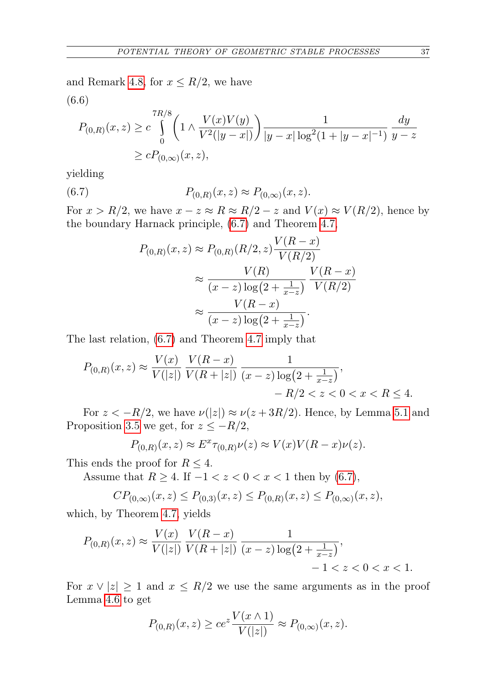and Remark [4.8,](#page-20-1) for  $x \leq R/2$ , we have  $R<sub>1</sub>$ (6.6)

$$
P_{(0,R)}(x,z) \ge c \int_{0}^{7R/8} \left(1 \wedge \frac{V(x)V(y)}{V^2(|y-x|)}\right) \frac{1}{|y-x|\log^2(1+|y-x|^{-1})} \frac{dy}{y-z}
$$
  
 
$$
\ge c P_{(0,\infty)}(x,z),
$$

yielding

(6.7) 
$$
P_{(0,R)}(x,z) \approx P_{(0,\infty)}(x,z).
$$

For  $x > R/2$ , we have  $x - z \approx R \approx R/2 - z$  and  $V(x) \approx V(R/2)$ , hence by the boundary Harnack principle, [\(6.7\)](#page-30-0) and Theorem [4.7,](#page-18-0)

<span id="page-30-0"></span>
$$
P_{(0,R)}(x,z) \approx P_{(0,R)}(R/2,z) \frac{V(R-x)}{V(R/2)}
$$

$$
\approx \frac{V(R)}{(x-z)\log(2+\frac{1}{x-z})} \frac{V(R-x)}{V(R/2)}
$$

$$
\approx \frac{V(R-x)}{(x-z)\log(2+\frac{1}{x-z})}.
$$

The last relation, [\(6.7\)](#page-30-0) and Theorem [4.7](#page-18-0) imply that

$$
P_{(0,R)}(x,z) \approx \frac{V(x)}{V(|z|)} \frac{V(R-x)}{V(R+|z|)} \frac{1}{(x-z)\log(2+\frac{1}{x-z})},
$$
  
-  $R/2 < z < 0 < x < R \le 4.$ 

For  $z < -R/2$ , we have  $\nu(|z|) \approx \nu(z + 3R/2)$ . Hence, by Lemma [5.1](#page-21-2) and Proposition [3.5](#page-7-1) we get, for  $z \le -R/2$ ,

$$
P_{(0,R)}(x,z) \approx E^x \tau_{(0,R)} \nu(z) \approx V(x) V(R-x) \nu(z).
$$

This ends the proof for  $R \leq 4$ .

Assume that  $R \geq 4$ . If  $-1 < z < 0 < x < 1$  then by [\(6.7\)](#page-30-0),

$$
CP_{(0,\infty)}(x,z) \le P_{(0,3)}(x,z) \le P_{(0,R)}(x,z) \le P_{(0,\infty)}(x,z),
$$

which, by Theorem [4.7,](#page-18-0) yields

$$
P_{(0,R)}(x,z) \approx \frac{V(x)}{V(|z|)} \frac{V(R-x)}{V(R+|z|)} \frac{1}{(x-z)\log(2+\frac{1}{x-z})},
$$
  
-1 < z < 0 < x < 1.

For  $x \vee |z| \geq 1$  and  $x \leq R/2$  we use the same arguments as in the proof Lemma [4.6](#page-15-0) to get

$$
P_{(0,R)}(x, z) \ge ce^z \frac{V(x \wedge 1)}{V(|z|)} \approx P_{(0,\infty)}(x, z).
$$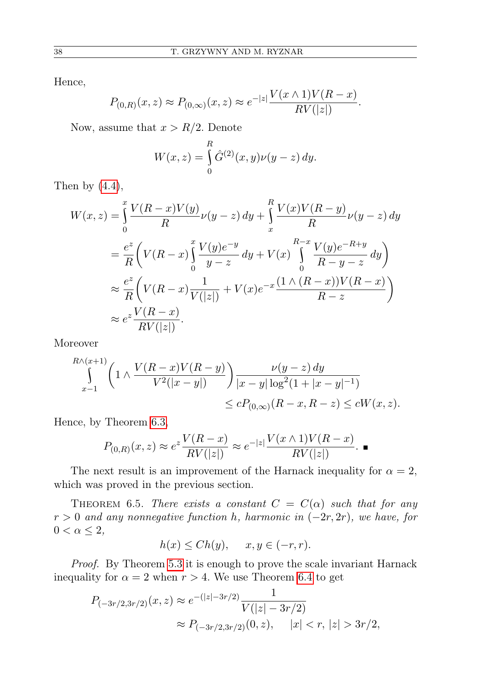Hence,

$$
P_{(0,R)}(x,z) \approx P_{(0,\infty)}(x,z) \approx e^{-|z|} \frac{V(x \wedge 1)V(R-x)}{RV(|z|)}.
$$

Now, assume that  $x > R/2$ . Denote

$$
W(x, z) = \int_{0}^{R} \hat{G}^{(2)}(x, y)\nu(y - z) \, dy.
$$

Then by  $(4.4)$ ,

$$
W(x,z) = \int_{0}^{x} \frac{V(R-x)V(y)}{R} \nu(y-z) dy + \int_{x}^{R} \frac{V(x)V(R-y)}{R} \nu(y-z) dy
$$
  

$$
= \frac{e^{z}}{R} \left( V(R-x) \int_{0}^{x} \frac{V(y)e^{-y}}{y-z} dy + V(x) \int_{0}^{R-x} \frac{V(y)e^{-R+y}}{R-y-z} dy \right)
$$
  

$$
\approx \frac{e^{z}}{R} \left( V(R-x) \frac{1}{V(|z|)} + V(x)e^{-x} \frac{(1 \wedge (R-x))V(R-x)}{R-z} \right)
$$
  

$$
\approx e^{z} \frac{V(R-x)}{RV(|z|)}.
$$

Moreover

$$
\int_{x-1}^{R \wedge (x+1)} \left( 1 \wedge \frac{V(R-x)V(R-y)}{V^2(|x-y|)} \right) \frac{\nu(y-z) dy}{|x-y| \log^2(1+|x-y|^{-1})}
$$
  

$$
\le c P_{(0,\infty)}(R-x,R-z) \le cW(x,z).
$$

Hence, by Theorem [6.3,](#page-28-0)

$$
P_{(0,R)}(x,z) \approx e^{z} \frac{V(R-x)}{RV(|z|)} \approx e^{-|z|} \frac{V(x \wedge 1)V(R-x)}{RV(|z|)}.
$$

The next result is an improvement of the Harnack inequality for  $\alpha = 2$ , which was proved in the previous section.

<span id="page-31-0"></span>THEOREM 6.5. There exists a constant  $C = C(\alpha)$  such that for any  $r > 0$  and any nonnegative function h, harmonic in  $(-2r, 2r)$ , we have, for  $0 < \alpha \leq 2$ ,

$$
h(x) \le Ch(y), \quad x, y \in (-r, r).
$$

Proof. By Theorem [5.3](#page-21-1) it is enough to prove the scale invariant Harnack inequality for  $\alpha = 2$  when  $r > 4$ . We use Theorem [6.4](#page-29-1) to get

$$
P_{(-3r/2,3r/2)}(x,z) \approx e^{-(|z|-3r/2)} \frac{1}{V(|z|-3r/2)}
$$
  
 
$$
\approx P_{(-3r/2,3r/2)}(0,z), \quad |x| < r, |z| > 3r/2,
$$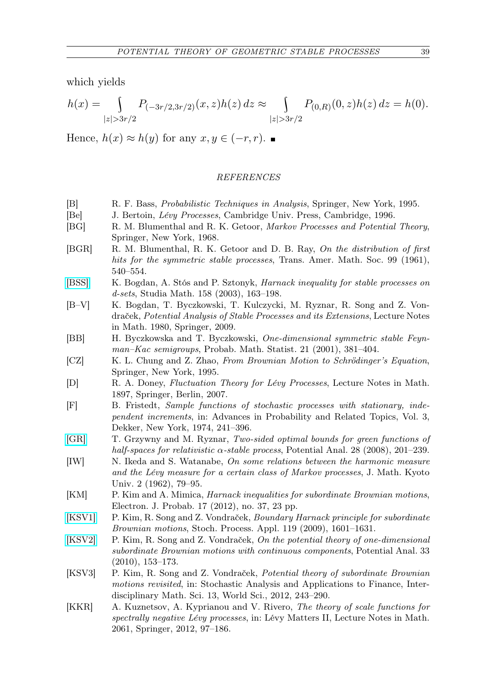which yields

$$
h(x)=\int\limits_{|z|>3r/2}P_{(-3r/2,3r/2)}(x,z)h(z)\,dz\approx\int\limits_{|z|>3r/2}P_{(0,R)}(0,z)h(z)\,dz=h(0).
$$

Hence,  $h(x) \approx h(y)$  for any  $x, y \in (-r, r)$ .

## REFERENCES

- <span id="page-32-13"></span>[B] R. F. Bass, Probabilistic Techniques in Analysis, Springer, New York, 1995.
- <span id="page-32-11"></span>[Be] J. Bertoin, Lévy Processes, Cambridge Univ. Press, Cambridge, 1996.
- <span id="page-32-6"></span>[BG] R. M. Blumenthal and R. K. Getoor, Markov Processes and Potential Theory, Springer, New York, 1968.
- <span id="page-32-15"></span>[BGR] R. M. Blumenthal, R. K. Getoor and D. B. Ray, On the distribution of first hits for the symmetric stable processes, Trans. Amer. Math. Soc. 99 (1961), 540–554.
- <span id="page-32-16"></span>[\[BSS\]](http://dx.doi.org/10.4064/sm158-2-5) K. Bogdan, A. Stós and P. Sztonyk, Harnack inequality for stable processes on d-sets, Studia Math. 158 (2003), 163–198.
- <span id="page-32-1"></span>[B–V] K. Bogdan, T. Byczkowski, T. Kulczycki, M. Ryznar, R. Song and Z. Vondraček, Potential Analysis of Stable Processes and its Extensions, Lecture Notes in Math. 1980, Springer, 2009.
- <span id="page-32-14"></span>[BB] H. Byczkowska and T. Byczkowski, One-dimensional symmetric stable Feynman–Kac semigroups, Probab. Math. Statist. 21 (2001), 381–404.
- <span id="page-32-5"></span>[CZ] K. L. Chung and Z. Zhao, From Brownian Motion to Schrödinger's Equation, Springer, New York, 1995.
- <span id="page-32-9"></span>[D] R. A. Doney, Fluctuation Theory for Lévy Processes, Lecture Notes in Math. 1897, Springer, Berlin, 2007.
- <span id="page-32-10"></span>[F] B. Fristedt, Sample functions of stochastic processes with stationary, independent increments, in: Advances in Probability and Related Topics, Vol. 3, Dekker, New York, 1974, 241–396.
- <span id="page-32-8"></span>[\[GR\]](http://dx.doi.org/10.1007/s11118-007-9071-3) T. Grzywny and M. Ryznar, Two-sided optimal bounds for green functions of half-spaces for relativistic  $\alpha$ -stable process, Potential Anal. 28 (2008), 201–239.
- <span id="page-32-7"></span>[IW] N. Ikeda and S. Watanabe, On some relations between the harmonic measure and the Lévy measure for a certain class of Markov processes, J. Math. Kyoto Univ. 2 (1962), 79–95.
- <span id="page-32-4"></span>[KM] P. Kim and A. Mimica, Harnack inequalities for subordinate Brownian motions, Electron. J. Probab. 17 (2012), no. 37, 23 pp.
- <span id="page-32-0"></span>[\[KSV1\]](http://dx.doi.org/10.1016/j.spa.2008.08.003) P. Kim, R. Song and Z. Vondraček, Boundary Harnack principle for subordinate Brownian motions, Stoch. Process. Appl. 119 (2009), 1601–1631.
- <span id="page-32-2"></span>[\[KSV2\]](http://dx.doi.org/10.1007/s11118-009-9163-3) P. Kim, R. Song and Z. Vondraček, On the potential theory of one-dimensional subordinate Brownian motions with continuous components, Potential Anal. 33 (2010), 153–173.
- <span id="page-32-3"></span>[KSV3] P. Kim, R. Song and Z. Vondraček, Potential theory of subordinate Brownian motions revisited, in: Stochastic Analysis and Applications to Finance, Interdisciplinary Math. Sci. 13, World Sci., 2012, 243–290.
- <span id="page-32-12"></span>[KKR] A. Kuznetsov, A. Kyprianou and V. Rivero, The theory of scale functions for spectrally negative Lévy processes, in: Lévy Matters II, Lecture Notes in Math. 2061, Springer, 2012, 97–186.